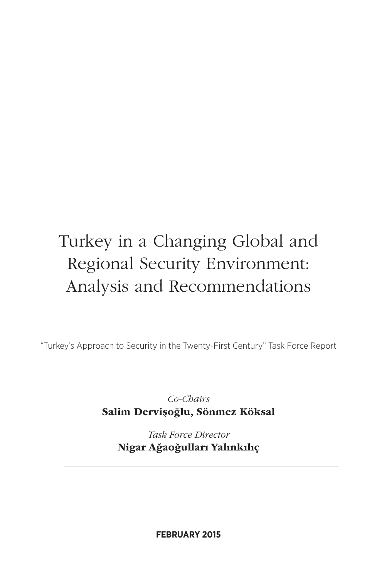# Turkey in a Changing Global and Regional Security Environment: Analysis and Recommendations

"Turkey's Approach to Security in the Twenty-First Century" Task Force Report

*Co-Chairs* Salim Dervişoğlu, Sönmez Köksal

*Task Force Director* Nigar Ağaoğulları Yalınkılıç

**FEBRUARY 2015**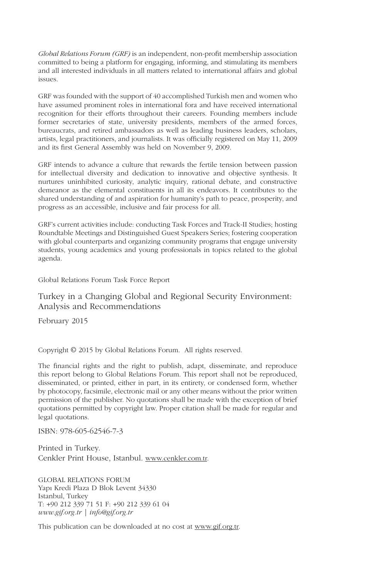*Global Relations Forum (GRF)* is an independent, non-profit membership association committed to being a platform for engaging, informing, and stimulating its members and all interested individuals in all matters related to international affairs and global issues.

GRF was founded with the support of 40 accomplished Turkish men and women who have assumed prominent roles in international fora and have received international recognition for their efforts throughout their careers. Founding members include former secretaries of state, university presidents, members of the armed forces, bureaucrats, and retired ambassadors as well as leading business leaders, scholars, artists, legal practitioners, and journalists. It was officially registered on May 11, 2009 and its first General Assembly was held on November 9, 2009.

GRF intends to advance a culture that rewards the fertile tension between passion for intellectual diversity and dedication to innovative and objective synthesis. It nurtures uninhibited curiosity, analytic inquiry, rational debate, and constructive demeanor as the elemental constituents in all its endeavors. It contributes to the shared understanding of and aspiration for humanity's path to peace, prosperity, and progress as an accessible, inclusive and fair process for all.

GRF's current activities include: conducting Task Forces and Track-II Studies; hosting Roundtable Meetings and Distinguished Guest Speakers Series; fostering cooperation with global counterparts and organizing community programs that engage university students, young academics and young professionals in topics related to the global agenda.

Global Relations Forum Task Force Report

Turkey in a Changing Global and Regional Security Environment: Analysis and Recommendations

February 2015

Copyright © 2015 by Global Relations Forum. All rights reserved.

The financial rights and the right to publish, adapt, disseminate, and reproduce this report belong to Global Relations Forum. This report shall not be reproduced, disseminated, or printed, either in part, in its entirety, or condensed form, whether by photocopy, facsimile, electronic mail or any other means without the prior written permission of the publisher. No quotations shall be made with the exception of brief quotations permitted by copyright law. Proper citation shall be made for regular and legal quotations.

ISBN: 978-605-62546-7-3

Printed in Turkey. Cenkler Print House, Istanbul. www.cenkler.com.tr.

GLOBAL RELATIONS FORUM Yapı Kredi Plaza D Blok Levent 34330 Istanbul, Turkey T: +90 212 339 71 51 F: +90 212 339 61 04 *www.gif.org.tr | info@gif.org.tr*

This publication can be downloaded at no cost at www.gif.org.tr.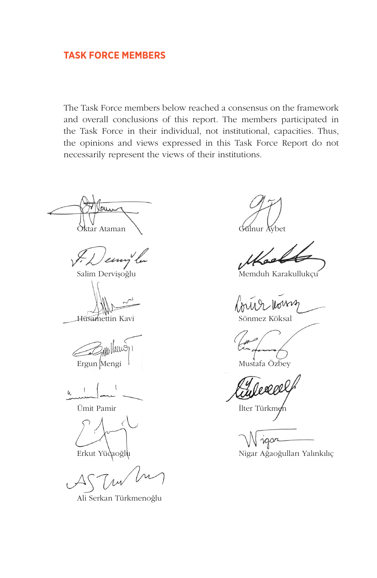# **TASK FORCE MEMBERS**

The Task Force members below reached a consensus on the framework and overall conclusions of this report. The members participated in the Task Force in their individual, not institutional, capacities. Thus, the opinions and views expressed in this Task Force Report do not necessarily represent the views of their institutions.

Oktar Ataman Gülnur Aybet

 $\ell\mu$ 

lww  $\epsilon$ Ergun Mengi lahir mengi di mengikan mengikan mengika di mengi mengika di mengi mengi mengi mengi di mengi mengi<br>Mustafa Özbey

Ümit Pamir **Ilter Türkmen** 

Ali Serkan Türkmenoğlu

Salim Dervişoğlu Memduh Karakullukçu

loung

Hüsamettin Kavi Sönmez Köksal

Erkut Yücaoğlu Nigar Ağaoğulları Yalınkılıç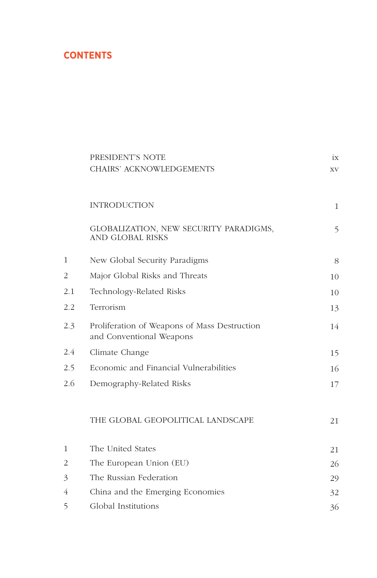# **CONTENTS**

|     | PRESIDENT'S NOTE                                                         | ix |
|-----|--------------------------------------------------------------------------|----|
|     | <b>CHAIRS' ACKNOWLEDGEMENTS</b>                                          | XV |
|     | <b>INTRODUCTION</b>                                                      | 1  |
|     |                                                                          |    |
|     | GLOBALIZATION, NEW SECURITY PARADIGMS,<br><b>AND GLOBAL RISKS</b>        | 5  |
| 1   | New Global Security Paradigms                                            | 8  |
| 2   | Major Global Risks and Threats                                           | 10 |
| 2.1 | Technology-Related Risks                                                 | 10 |
| 2.2 | Terrorism                                                                | 13 |
| 2.3 | Proliferation of Weapons of Mass Destruction<br>and Conventional Weapons | 14 |
| 2.4 | Climate Change                                                           | 15 |
| 2.5 | Economic and Financial Vulnerabilities                                   | 16 |
| 2.6 | Demography-Related Risks                                                 | 17 |
|     | THE GLOBAL GEOPOLITICAL LANDSCAPE                                        | 21 |
| 1   | The United States                                                        | 21 |
| 2   | The European Union (EU)                                                  | 26 |
| 3   | The Russian Federation                                                   | 29 |
| 4   | China and the Emerging Economies                                         | 32 |
| 5   | Global Institutions                                                      | 36 |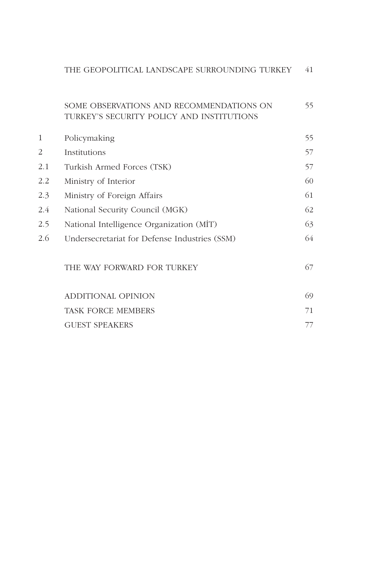| THE GEOPOLITICAL LANDSCAPE SURROUNDING TURKEY |  |
|-----------------------------------------------|--|
|-----------------------------------------------|--|

#### SOME OBSERVATIONS AND RECOMMENDATIONS ON TURKEY'S SECURITY POLICY AND INSTITUTIONS 55

| 1   | Policymaking                                  | 55. |
|-----|-----------------------------------------------|-----|
| 2   | Institutions                                  | 57  |
| 2.1 | Turkish Armed Forces (TSK)                    | 57  |
| 2.2 | Ministry of Interior                          | 60  |
| 2.3 | Ministry of Foreign Affairs                   | 61  |
| 2.4 | National Security Council (MGK)               | 62  |
| 2.5 | National Intelligence Organization (MIT)      | 63  |
| 2.6 | Undersecretariat for Defense Industries (SSM) | 64  |
|     |                                               |     |

# THE WAY FORWARD FOR TURKEY

| ADDITIONAL OPINION        | 69 |
|---------------------------|----|
| <b>TASK FORCE MEMBERS</b> |    |
| <b>GUEST SPEAKERS</b>     |    |

67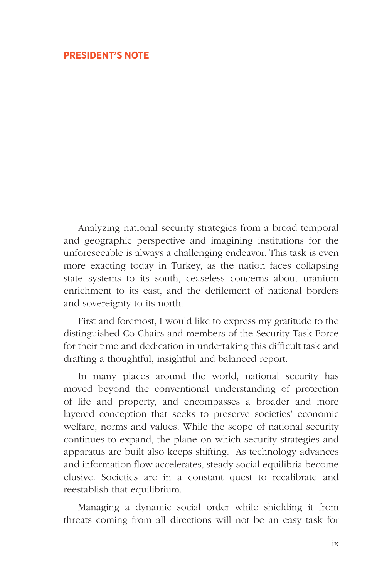# **PRESIDENT'S NOTE**

Analyzing national security strategies from a broad temporal and geographic perspective and imagining institutions for the unforeseeable is always a challenging endeavor. This task is even more exacting today in Turkey, as the nation faces collapsing state systems to its south, ceaseless concerns about uranium enrichment to its east, and the defilement of national borders and sovereignty to its north.

First and foremost, I would like to express my gratitude to the distinguished Co-Chairs and members of the Security Task Force for their time and dedication in undertaking this difficult task and drafting a thoughtful, insightful and balanced report.

In many places around the world, national security has moved beyond the conventional understanding of protection of life and property, and encompasses a broader and more layered conception that seeks to preserve societies' economic welfare, norms and values. While the scope of national security continues to expand, the plane on which security strategies and apparatus are built also keeps shifting. As technology advances and information flow accelerates, steady social equilibria become elusive. Societies are in a constant quest to recalibrate and reestablish that equilibrium.

Managing a dynamic social order while shielding it from threats coming from all directions will not be an easy task for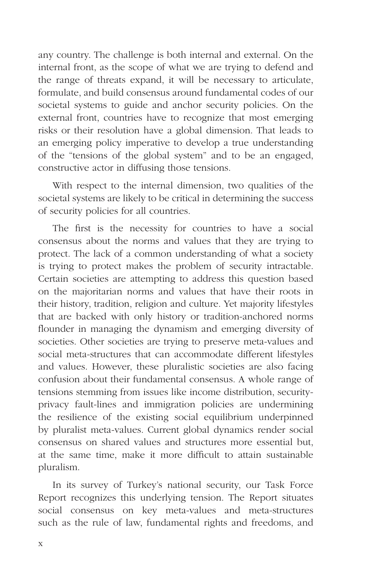any country. The challenge is both internal and external. On the internal front, as the scope of what we are trying to defend and the range of threats expand, it will be necessary to articulate, formulate, and build consensus around fundamental codes of our societal systems to guide and anchor security policies. On the external front, countries have to recognize that most emerging risks or their resolution have a global dimension. That leads to an emerging policy imperative to develop a true understanding of the "tensions of the global system" and to be an engaged, constructive actor in diffusing those tensions.

With respect to the internal dimension, two qualities of the societal systems are likely to be critical in determining the success of security policies for all countries.

The first is the necessity for countries to have a social consensus about the norms and values that they are trying to protect. The lack of a common understanding of what a society is trying to protect makes the problem of security intractable. Certain societies are attempting to address this question based on the majoritarian norms and values that have their roots in their history, tradition, religion and culture. Yet majority lifestyles that are backed with only history or tradition-anchored norms flounder in managing the dynamism and emerging diversity of societies. Other societies are trying to preserve meta-values and social meta-structures that can accommodate different lifestyles and values. However, these pluralistic societies are also facing confusion about their fundamental consensus. A whole range of tensions stemming from issues like income distribution, securityprivacy fault-lines and immigration policies are undermining the resilience of the existing social equilibrium underpinned by pluralist meta-values. Current global dynamics render social consensus on shared values and structures more essential but, at the same time, make it more difficult to attain sustainable pluralism.

In its survey of Turkey's national security, our Task Force Report recognizes this underlying tension. The Report situates social consensus on key meta-values and meta-structures such as the rule of law, fundamental rights and freedoms, and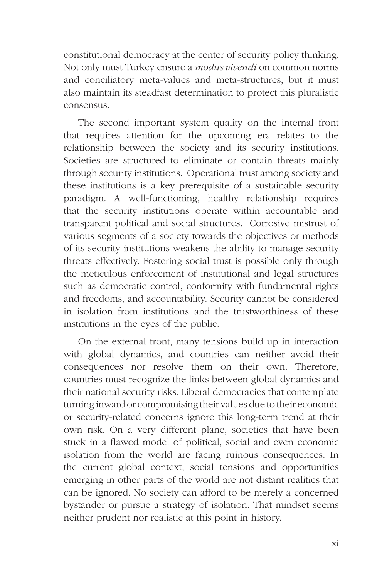constitutional democracy at the center of security policy thinking. Not only must Turkey ensure a *modus vivendi* on common norms and conciliatory meta-values and meta-structures, but it must also maintain its steadfast determination to protect this pluralistic consensus.

The second important system quality on the internal front that requires attention for the upcoming era relates to the relationship between the society and its security institutions. Societies are structured to eliminate or contain threats mainly through security institutions. Operational trust among society and these institutions is a key prerequisite of a sustainable security paradigm. A well-functioning, healthy relationship requires that the security institutions operate within accountable and transparent political and social structures. Corrosive mistrust of various segments of a society towards the objectives or methods of its security institutions weakens the ability to manage security threats effectively. Fostering social trust is possible only through the meticulous enforcement of institutional and legal structures such as democratic control, conformity with fundamental rights and freedoms, and accountability. Security cannot be considered in isolation from institutions and the trustworthiness of these institutions in the eyes of the public.

On the external front, many tensions build up in interaction with global dynamics, and countries can neither avoid their consequences nor resolve them on their own. Therefore, countries must recognize the links between global dynamics and their national security risks. Liberal democracies that contemplate turning inward or compromising their values due to their economic or security-related concerns ignore this long-term trend at their own risk. On a very different plane, societies that have been stuck in a flawed model of political, social and even economic isolation from the world are facing ruinous consequences. In the current global context, social tensions and opportunities emerging in other parts of the world are not distant realities that can be ignored. No society can afford to be merely a concerned bystander or pursue a strategy of isolation. That mindset seems neither prudent nor realistic at this point in history.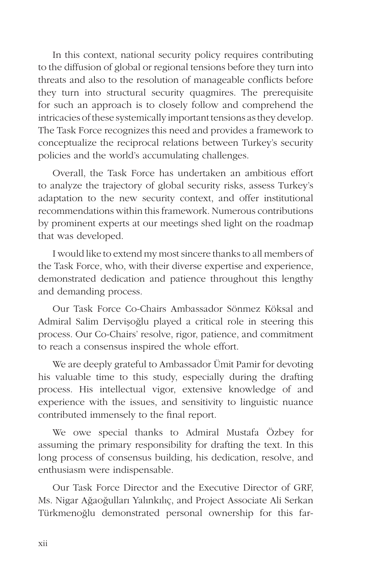In this context, national security policy requires contributing to the diffusion of global or regional tensions before they turn into threats and also to the resolution of manageable conflicts before they turn into structural security quagmires. The prerequisite for such an approach is to closely follow and comprehend the intricacies of these systemically important tensions as they develop. The Task Force recognizes this need and provides a framework to conceptualize the reciprocal relations between Turkey's security policies and the world's accumulating challenges.

Overall, the Task Force has undertaken an ambitious effort to analyze the trajectory of global security risks, assess Turkey's adaptation to the new security context, and offer institutional recommendations within this framework. Numerous contributions by prominent experts at our meetings shed light on the roadmap that was developed.

I would like to extend my most sincere thanks to all members of the Task Force, who, with their diverse expertise and experience, demonstrated dedication and patience throughout this lengthy and demanding process.

Our Task Force Co-Chairs Ambassador Sönmez Köksal and Admiral Salim Dervişoğlu played a critical role in steering this process. Our Co-Chairs' resolve, rigor, patience, and commitment to reach a consensus inspired the whole effort.

We are deeply grateful to Ambassador Ümit Pamir for devoting his valuable time to this study, especially during the drafting process. His intellectual vigor, extensive knowledge of and experience with the issues, and sensitivity to linguistic nuance contributed immensely to the final report.

We owe special thanks to Admiral Mustafa Özbey for assuming the primary responsibility for drafting the text. In this long process of consensus building, his dedication, resolve, and enthusiasm were indispensable.

Our Task Force Director and the Executive Director of GRF, Ms. Nigar Ağaoğulları Yalınkılıç, and Project Associate Ali Serkan Türkmenoğlu demonstrated personal ownership for this far-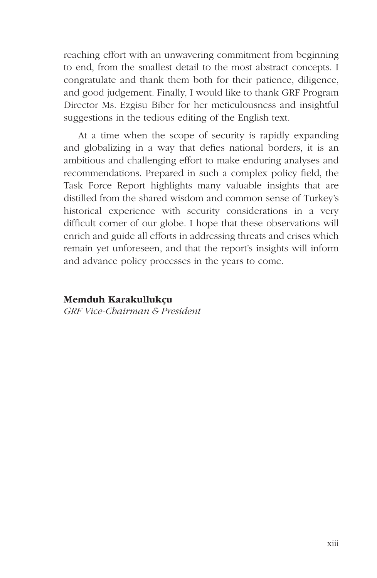reaching effort with an unwavering commitment from beginning to end, from the smallest detail to the most abstract concepts. I congratulate and thank them both for their patience, diligence, and good judgement. Finally, I would like to thank GRF Program Director Ms. Ezgisu Biber for her meticulousness and insightful suggestions in the tedious editing of the English text.

At a time when the scope of security is rapidly expanding and globalizing in a way that defies national borders, it is an ambitious and challenging effort to make enduring analyses and recommendations. Prepared in such a complex policy field, the Task Force Report highlights many valuable insights that are distilled from the shared wisdom and common sense of Turkey's historical experience with security considerations in a very difficult corner of our globe. I hope that these observations will enrich and guide all efforts in addressing threats and crises which remain yet unforeseen, and that the report's insights will inform and advance policy processes in the years to come.

# Memduh Karakullukçu

*GRF Vice-Chairman & President*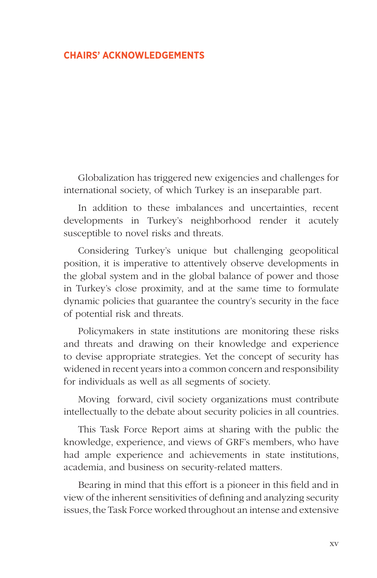# **CHAIRS' ACKNOWLEDGEMENTS**

Globalization has triggered new exigencies and challenges for international society, of which Turkey is an inseparable part.

In addition to these imbalances and uncertainties, recent developments in Turkey's neighborhood render it acutely susceptible to novel risks and threats.

Considering Turkey's unique but challenging geopolitical position, it is imperative to attentively observe developments in the global system and in the global balance of power and those in Turkey's close proximity, and at the same time to formulate dynamic policies that guarantee the country's security in the face of potential risk and threats.

Policymakers in state institutions are monitoring these risks and threats and drawing on their knowledge and experience to devise appropriate strategies. Yet the concept of security has widened in recent years into a common concern and responsibility for individuals as well as all segments of society.

Moving forward, civil society organizations must contribute intellectually to the debate about security policies in all countries.

This Task Force Report aims at sharing with the public the knowledge, experience, and views of GRF's members, who have had ample experience and achievements in state institutions, academia, and business on security-related matters.

Bearing in mind that this effort is a pioneer in this field and in view of the inherent sensitivities of defining and analyzing security issues, the Task Force worked throughout an intense and extensive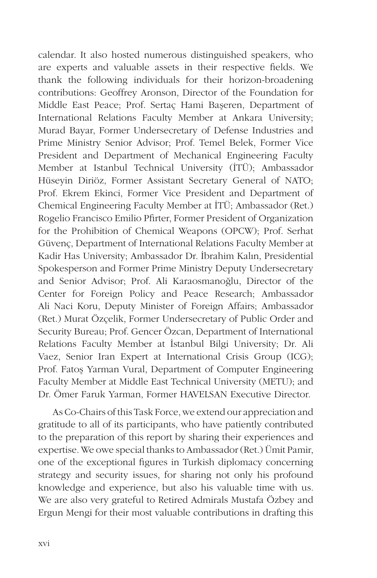calendar. It also hosted numerous distinguished speakers, who are experts and valuable assets in their respective fields. We thank the following individuals for their horizon-broadening contributions: Geoffrey Aronson, Director of the Foundation for Middle East Peace; Prof. Sertaç Hami Başeren, Department of International Relations Faculty Member at Ankara University; Murad Bayar, Former Undersecretary of Defense Industries and Prime Ministry Senior Advisor; Prof. Temel Belek, Former Vice President and Department of Mechanical Engineering Faculty Member at Istanbul Technical University (İTÜ); Ambassador Hüseyin Diriöz, Former Assistant Secretary General of NATO; Prof. Ekrem Ekinci, Former Vice President and Department of Chemical Engineering Faculty Member at İTÜ; Ambassador (Ret.) Rogelio Francisco Emilio Pfirter, Former President of Organization for the Prohibition of Chemical Weapons (OPCW); Prof. Serhat Güvenç, Department of International Relations Faculty Member at Kadir Has University; Ambassador Dr. İbrahim Kalın, Presidential Spokesperson and Former Prime Ministry Deputy Undersecretary and Senior Advisor; Prof. Ali Karaosmanoğlu, Director of the Center for Foreign Policy and Peace Research; Ambassador Ali Naci Koru, Deputy Minister of Foreign Affairs; Ambassador (Ret.) Murat Özçelik, Former Undersecretary of Public Order and Security Bureau; Prof. Gencer Özcan, Department of International Relations Faculty Member at İstanbul Bilgi University; Dr. Ali Vaez, Senior Iran Expert at International Crisis Group (ICG); Prof. Fatoş Yarman Vural, Department of Computer Engineering Faculty Member at Middle East Technical University (METU); and Dr. Ömer Faruk Yarman, Former HAVELSAN Executive Director.

As Co-Chairs of this Task Force, we extend our appreciation and gratitude to all of its participants, who have patiently contributed to the preparation of this report by sharing their experiences and expertise. We owe special thanks to Ambassador (Ret.) Ümit Pamir, one of the exceptional figures in Turkish diplomacy concerning strategy and security issues, for sharing not only his profound knowledge and experience, but also his valuable time with us. We are also very grateful to Retired Admirals Mustafa Özbey and Ergun Mengi for their most valuable contributions in drafting this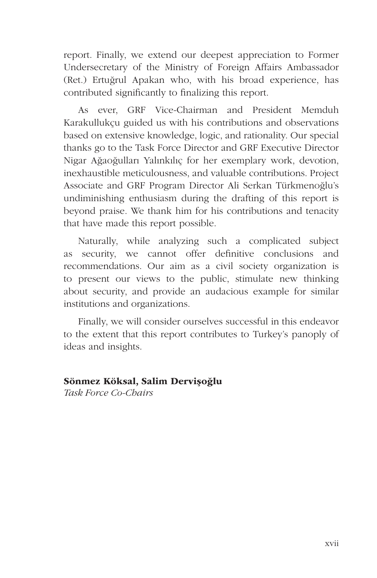report. Finally, we extend our deepest appreciation to Former Undersecretary of the Ministry of Foreign Affairs Ambassador (Ret.) Ertuğrul Apakan who, with his broad experience, has contributed significantly to finalizing this report.

As ever, GRF Vice-Chairman and President Memduh Karakullukçu guided us with his contributions and observations based on extensive knowledge, logic, and rationality. Our special thanks go to the Task Force Director and GRF Executive Director Nigar Ağaoğulları Yalınkılıç for her exemplary work, devotion, inexhaustible meticulousness, and valuable contributions. Project Associate and GRF Program Director Ali Serkan Türkmenoğlu's undiminishing enthusiasm during the drafting of this report is beyond praise. We thank him for his contributions and tenacity that have made this report possible.

Naturally, while analyzing such a complicated subject as security, we cannot offer definitive conclusions and recommendations. Our aim as a civil society organization is to present our views to the public, stimulate new thinking about security, and provide an audacious example for similar institutions and organizations.

Finally, we will consider ourselves successful in this endeavor to the extent that this report contributes to Turkey's panoply of ideas and insights.

### Sönmez Köksal, Salim Dervişoğlu

*Task Force Co-Chairs*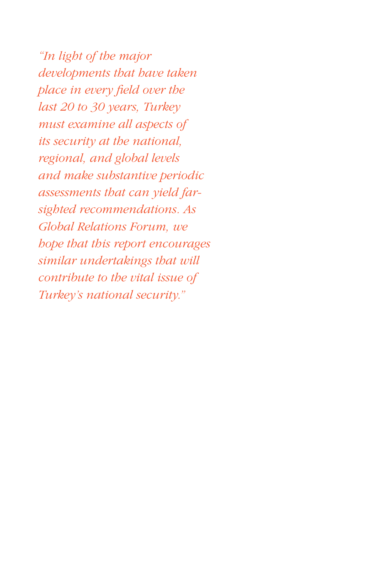*"In light of the major developments that have taken place in every field over the last 20 to 30 years, Turkey must examine all aspects of its security at the national, regional, and global levels and make substantive periodic assessments that can yield farsighted recommendations. As Global Relations Forum, we hope that this report encourages similar undertakings that will contribute to the vital issue of Turkey's national security."*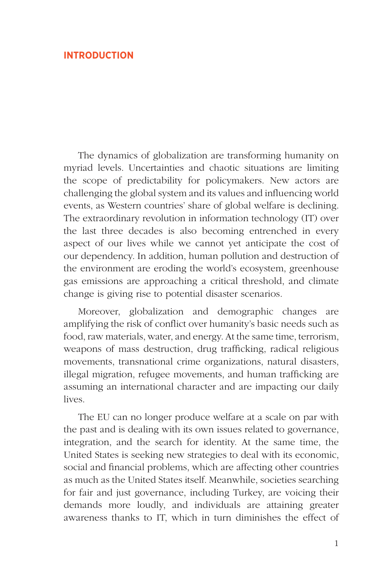# **INTRODUCTION**

The dynamics of globalization are transforming humanity on myriad levels. Uncertainties and chaotic situations are limiting the scope of predictability for policymakers. New actors are challenging the global system and its values and influencing world events, as Western countries' share of global welfare is declining. The extraordinary revolution in information technology (IT) over the last three decades is also becoming entrenched in every aspect of our lives while we cannot yet anticipate the cost of our dependency. In addition, human pollution and destruction of the environment are eroding the world's ecosystem, greenhouse gas emissions are approaching a critical threshold, and climate change is giving rise to potential disaster scenarios.

Moreover, globalization and demographic changes are amplifying the risk of conflict over humanity's basic needs such as food, raw materials, water, and energy. At the same time, terrorism, weapons of mass destruction, drug trafficking, radical religious movements, transnational crime organizations, natural disasters, illegal migration, refugee movements, and human trafficking are assuming an international character and are impacting our daily lives.

The EU can no longer produce welfare at a scale on par with the past and is dealing with its own issues related to governance, integration, and the search for identity. At the same time, the United States is seeking new strategies to deal with its economic, social and financial problems, which are affecting other countries as much as the United States itself. Meanwhile, societies searching for fair and just governance, including Turkey, are voicing their demands more loudly, and individuals are attaining greater awareness thanks to IT, which in turn diminishes the effect of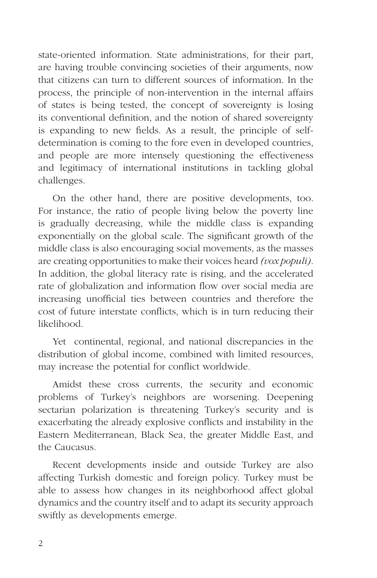state-oriented information. State administrations, for their part, are having trouble convincing societies of their arguments, now that citizens can turn to different sources of information. In the process, the principle of non-intervention in the internal affairs of states is being tested, the concept of sovereignty is losing its conventional definition, and the notion of shared sovereignty is expanding to new fields. As a result, the principle of selfdetermination is coming to the fore even in developed countries, and people are more intensely questioning the effectiveness and legitimacy of international institutions in tackling global challenges.

On the other hand, there are positive developments, too. For instance, the ratio of people living below the poverty line is gradually decreasing, while the middle class is expanding exponentially on the global scale. The significant growth of the middle class is also encouraging social movements, as the masses are creating opportunities to make their voices heard *(vox populi)*. In addition, the global literacy rate is rising, and the accelerated rate of globalization and information flow over social media are increasing unofficial ties between countries and therefore the cost of future interstate conflicts, which is in turn reducing their likelihood.

Yet continental, regional, and national discrepancies in the distribution of global income, combined with limited resources, may increase the potential for conflict worldwide.

Amidst these cross currents, the security and economic problems of Turkey's neighbors are worsening. Deepening sectarian polarization is threatening Turkey's security and is exacerbating the already explosive conflicts and instability in the Eastern Mediterranean, Black Sea, the greater Middle East, and the Caucasus.

Recent developments inside and outside Turkey are also affecting Turkish domestic and foreign policy. Turkey must be able to assess how changes in its neighborhood affect global dynamics and the country itself and to adapt its security approach swiftly as developments emerge.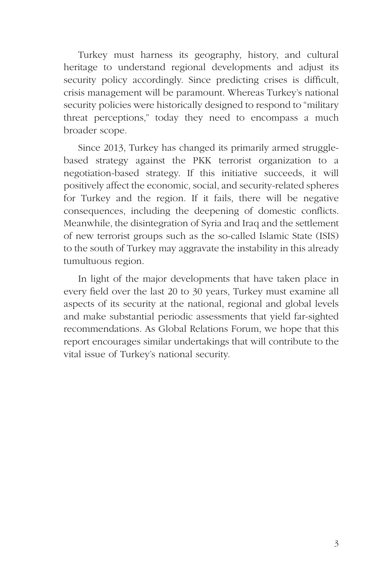Turkey must harness its geography, history, and cultural heritage to understand regional developments and adjust its security policy accordingly. Since predicting crises is difficult, crisis management will be paramount. Whereas Turkey's national security policies were historically designed to respond to "military threat perceptions," today they need to encompass a much broader scope.

Since 2013, Turkey has changed its primarily armed strugglebased strategy against the PKK terrorist organization to a negotiation-based strategy. If this initiative succeeds, it will positively affect the economic, social, and security-related spheres for Turkey and the region. If it fails, there will be negative consequences, including the deepening of domestic conflicts. Meanwhile, the disintegration of Syria and Iraq and the settlement of new terrorist groups such as the so-called Islamic State (ISIS) to the south of Turkey may aggravate the instability in this already tumultuous region.

In light of the major developments that have taken place in every field over the last 20 to 30 years, Turkey must examine all aspects of its security at the national, regional and global levels and make substantial periodic assessments that yield far-sighted recommendations. As Global Relations Forum, we hope that this report encourages similar undertakings that will contribute to the vital issue of Turkey's national security.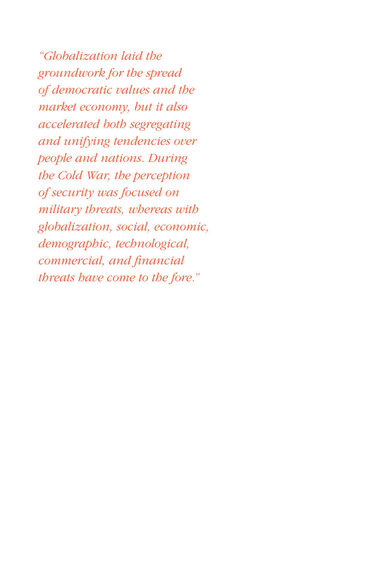*"Globalization laid the groundwork for the spread of democratic values and the market economy, but it also accelerated both segregating and unifying tendencies over people and nations. During the Cold War, the perception of security was focused on military threats, whereas with globalization, social, economic, demographic, technological, commercial, and financial threats have come to the fore."*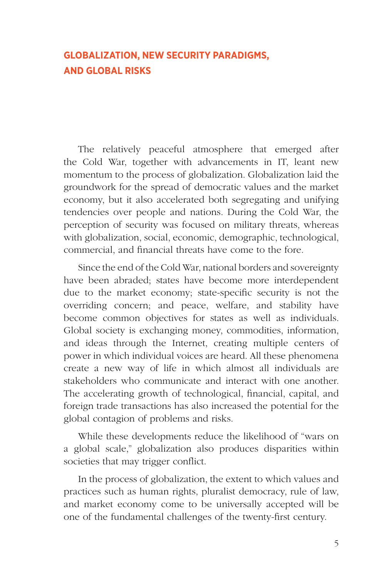# **GLOBALIZATION, NEW SECURITY PARADIGMS, AND GLOBAL RISKS**

The relatively peaceful atmosphere that emerged after the Cold War, together with advancements in IT, leant new momentum to the process of globalization. Globalization laid the groundwork for the spread of democratic values and the market economy, but it also accelerated both segregating and unifying tendencies over people and nations. During the Cold War, the perception of security was focused on military threats, whereas with globalization, social, economic, demographic, technological, commercial, and financial threats have come to the fore.

Since the end of the Cold War, national borders and sovereignty have been abraded; states have become more interdependent due to the market economy; state-specific security is not the overriding concern; and peace, welfare, and stability have become common objectives for states as well as individuals. Global society is exchanging money, commodities, information, and ideas through the Internet, creating multiple centers of power in which individual voices are heard. All these phenomena create a new way of life in which almost all individuals are stakeholders who communicate and interact with one another. The accelerating growth of technological, financial, capital, and foreign trade transactions has also increased the potential for the global contagion of problems and risks.

While these developments reduce the likelihood of "wars on a global scale," globalization also produces disparities within societies that may trigger conflict.

In the process of globalization, the extent to which values and practices such as human rights, pluralist democracy, rule of law, and market economy come to be universally accepted will be one of the fundamental challenges of the twenty-first century.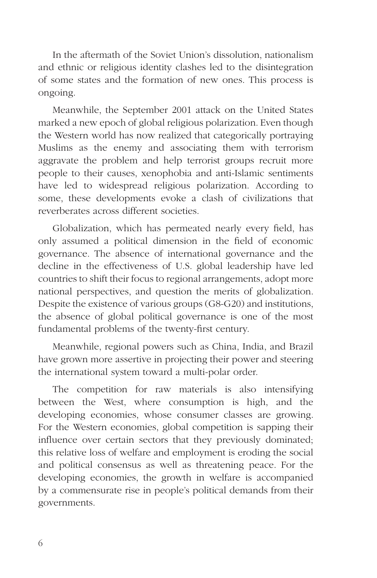In the aftermath of the Soviet Union's dissolution, nationalism and ethnic or religious identity clashes led to the disintegration of some states and the formation of new ones. This process is ongoing.

Meanwhile, the September 2001 attack on the United States marked a new epoch of global religious polarization. Even though the Western world has now realized that categorically portraying Muslims as the enemy and associating them with terrorism aggravate the problem and help terrorist groups recruit more people to their causes, xenophobia and anti-Islamic sentiments have led to widespread religious polarization. According to some, these developments evoke a clash of civilizations that reverberates across different societies.

Globalization, which has permeated nearly every field, has only assumed a political dimension in the field of economic governance. The absence of international governance and the decline in the effectiveness of U.S. global leadership have led countries to shift their focus to regional arrangements, adopt more national perspectives, and question the merits of globalization. Despite the existence of various groups (G8-G20) and institutions, the absence of global political governance is one of the most fundamental problems of the twenty-first century.

Meanwhile, regional powers such as China, India, and Brazil have grown more assertive in projecting their power and steering the international system toward a multi-polar order.

The competition for raw materials is also intensifying between the West, where consumption is high, and the developing economies, whose consumer classes are growing. For the Western economies, global competition is sapping their influence over certain sectors that they previously dominated; this relative loss of welfare and employment is eroding the social and political consensus as well as threatening peace. For the developing economies, the growth in welfare is accompanied by a commensurate rise in people's political demands from their governments.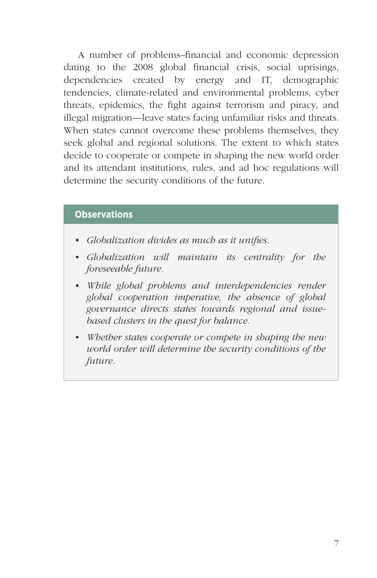A number of problems–financial and economic depression dating to the 2008 global financial crisis, social uprisings, dependencies created by energy and IT, demographic tendencies, climate-related and environmental problems, cyber threats, epidemics, the fight against terrorism and piracy, and illegal migration—leave states facing unfamiliar risks and threats. When states cannot overcome these problems themselves, they seek global and regional solutions. The extent to which states decide to cooperate or compete in shaping the new world order and its attendant institutions, rules, and ad hoc regulations will determine the security conditions of the future.

# **Observations**

- *• Globalization divides as much as it unifies.*
- *• Globalization will maintain its centrality for the foreseeable future.*
- *• While global problems and interdependencies render global cooperation imperative, the absence of global governance directs states towards regional and issuebased clusters in the quest for balance.*
- *• Whether states cooperate or compete in shaping the new world order will determine the security conditions of the future.*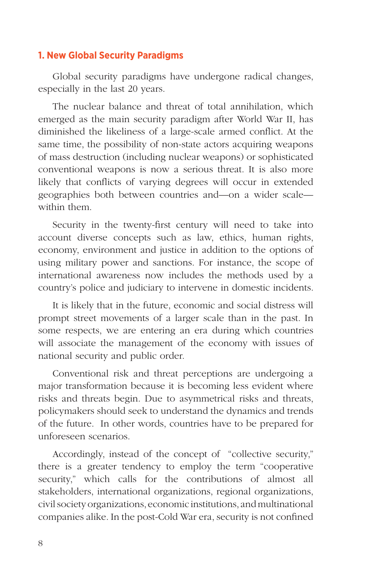# **1. New Global Security Paradigms**

Global security paradigms have undergone radical changes, especially in the last 20 years.

The nuclear balance and threat of total annihilation, which emerged as the main security paradigm after World War II, has diminished the likeliness of a large-scale armed conflict. At the same time, the possibility of non-state actors acquiring weapons of mass destruction (including nuclear weapons) or sophisticated conventional weapons is now a serious threat. It is also more likely that conflicts of varying degrees will occur in extended geographies both between countries and—on a wider scale within them.

Security in the twenty-first century will need to take into account diverse concepts such as law, ethics, human rights, economy, environment and justice in addition to the options of using military power and sanctions. For instance, the scope of international awareness now includes the methods used by a country's police and judiciary to intervene in domestic incidents.

It is likely that in the future, economic and social distress will prompt street movements of a larger scale than in the past. In some respects, we are entering an era during which countries will associate the management of the economy with issues of national security and public order.

Conventional risk and threat perceptions are undergoing a major transformation because it is becoming less evident where risks and threats begin. Due to asymmetrical risks and threats, policymakers should seek to understand the dynamics and trends of the future. In other words, countries have to be prepared for unforeseen scenarios.

Accordingly, instead of the concept of "collective security," there is a greater tendency to employ the term "cooperative security," which calls for the contributions of almost all stakeholders, international organizations, regional organizations, civil society organizations, economic institutions, and multinational companies alike. In the post-Cold War era, security is not confined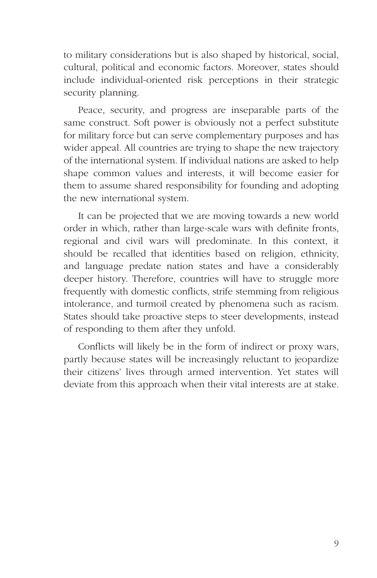to military considerations but is also shaped by historical, social, cultural, political and economic factors. Moreover, states should include individual-oriented risk perceptions in their strategic security planning.

Peace, security, and progress are inseparable parts of the same construct. Soft power is obviously not a perfect substitute for military force but can serve complementary purposes and has wider appeal. All countries are trying to shape the new trajectory of the international system. If individual nations are asked to help shape common values and interests, it will become easier for them to assume shared responsibility for founding and adopting the new international system.

It can be projected that we are moving towards a new world order in which, rather than large-scale wars with definite fronts, regional and civil wars will predominate. In this context, it should be recalled that identities based on religion, ethnicity, and language predate nation states and have a considerably deeper history. Therefore, countries will have to struggle more frequently with domestic conflicts, strife stemming from religious intolerance, and turmoil created by phenomena such as racism. States should take proactive steps to steer developments, instead of responding to them after they unfold.

Conflicts will likely be in the form of indirect or proxy wars, partly because states will be increasingly reluctant to jeopardize their citizens' lives through armed intervention. Yet states will deviate from this approach when their vital interests are at stake.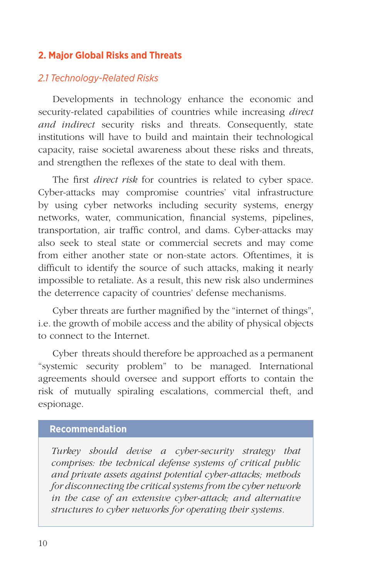# **2. Major Global Risks and Threats**

# *2.1 Technology-Related Risks*

Developments in technology enhance the economic and security-related capabilities of countries while increasing *direct and indirect* security risks and threats. Consequently, state institutions will have to build and maintain their technological capacity, raise societal awareness about these risks and threats, and strengthen the reflexes of the state to deal with them.

The first *direct risk* for countries is related to cyber space. Cyber-attacks may compromise countries' vital infrastructure by using cyber networks including security systems, energy networks, water, communication, financial systems, pipelines, transportation, air traffic control, and dams. Cyber-attacks may also seek to steal state or commercial secrets and may come from either another state or non-state actors. Oftentimes, it is difficult to identify the source of such attacks, making it nearly impossible to retaliate. As a result, this new risk also undermines the deterrence capacity of countries' defense mechanisms.

Cyber threats are further magnified by the "internet of things", i.e. the growth of mobile access and the ability of physical objects to connect to the Internet.

Cyber threats should therefore be approached as a permanent "systemic security problem" to be managed. International agreements should oversee and support efforts to contain the risk of mutually spiraling escalations, commercial theft, and espionage.

# **Recommendation**

*Turkey should devise a cyber-security strategy that comprises: the technical defense systems of critical public and private assets against potential cyber-attacks; methods for disconnecting the critical systems from the cyber network in the case of an extensive cyber-attack; and alternative structures to cyber networks for operating their systems.*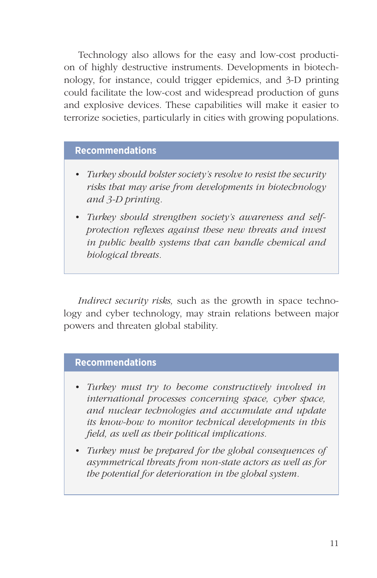Technology also allows for the easy and low-cost production of highly destructive instruments. Developments in biotechnology, for instance, could trigger epidemics, and 3-D printing could facilitate the low-cost and widespread production of guns and explosive devices. These capabilities will make it easier to terrorize societies, particularly in cities with growing populations.

# **Recommendations**

- *• Turkey should bolster society's resolve to resist the security risks that may arise from developments in biotechnology and 3-D printing.*
- *• Turkey should strengthen society's awareness and selfprotection reflexes against these new threats and invest in public health systems that can handle chemical and biological threats.*

*Indirect security risks*, such as the growth in space technology and cyber technology, may strain relations between major powers and threaten global stability.

# **Recommendations**

- *• Turkey must try to become constructively involved in international processes concerning space, cyber space, and nuclear technologies and accumulate and update its know-how to monitor technical developments in this field, as well as their political implications.*
- *• Turkey must be prepared for the global consequences of asymmetrical threats from non-state actors as well as for the potential for deterioration in the global system.*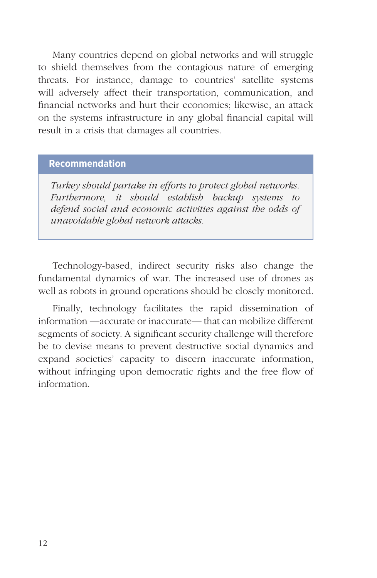Many countries depend on global networks and will struggle to shield themselves from the contagious nature of emerging threats. For instance, damage to countries' satellite systems will adversely affect their transportation, communication, and financial networks and hurt their economies; likewise, an attack on the systems infrastructure in any global financial capital will result in a crisis that damages all countries.

#### **Recommendation**

*Turkey should partake in efforts to protect global networks. Furthermore, it should establish backup systems to defend social and economic activities against the odds of unavoidable global network attacks.* 

Technology-based, indirect security risks also change the fundamental dynamics of war. The increased use of drones as well as robots in ground operations should be closely monitored.

Finally, technology facilitates the rapid dissemination of information —accurate or inaccurate— that can mobilize different segments of society. A significant security challenge will therefore be to devise means to prevent destructive social dynamics and expand societies' capacity to discern inaccurate information, without infringing upon democratic rights and the free flow of information.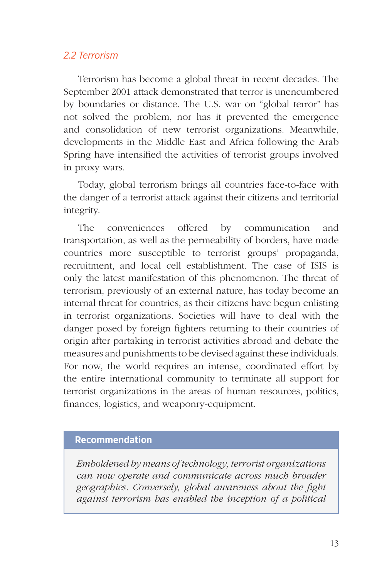# *2.2 Terrorism*

Terrorism has become a global threat in recent decades. The September 2001 attack demonstrated that terror is unencumbered by boundaries or distance. The U.S. war on "global terror" has not solved the problem, nor has it prevented the emergence and consolidation of new terrorist organizations. Meanwhile, developments in the Middle East and Africa following the Arab Spring have intensified the activities of terrorist groups involved in proxy wars.

Today, global terrorism brings all countries face-to-face with the danger of a terrorist attack against their citizens and territorial integrity.

The conveniences offered by communication and transportation, as well as the permeability of borders, have made countries more susceptible to terrorist groups' propaganda, recruitment, and local cell establishment. The case of ISIS is only the latest manifestation of this phenomenon. The threat of terrorism, previously of an external nature, has today become an internal threat for countries, as their citizens have begun enlisting in terrorist organizations. Societies will have to deal with the danger posed by foreign fighters returning to their countries of origin after partaking in terrorist activities abroad and debate the measures and punishments to be devised against these individuals. For now, the world requires an intense, coordinated effort by the entire international community to terminate all support for terrorist organizations in the areas of human resources, politics, finances, logistics, and weaponry-equipment.

# **Recommendation**

*Emboldened by means of technology, terrorist organizations can now operate and communicate across much broader geographies. Conversely, global awareness about the fight against terrorism has enabled the inception of a political*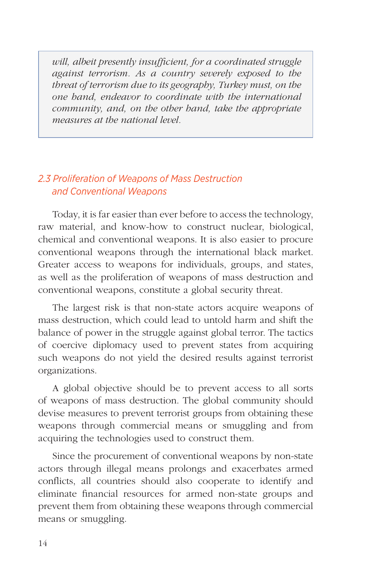*will, albeit presently insufficient, for a coordinated struggle against terrorism. As a country severely exposed to the threat of terrorism due to its geography, Turkey must, on the one hand, endeavor to coordinate with the international community, and, on the other hand, take the appropriate measures at the national level.*

# *2.3 Proliferation of Weapons of Mass Destruction and Conventional Weapons*

Today, it is far easier than ever before to access the technology, raw material, and know-how to construct nuclear, biological, chemical and conventional weapons. It is also easier to procure conventional weapons through the international black market. Greater access to weapons for individuals, groups, and states, as well as the proliferation of weapons of mass destruction and conventional weapons, constitute a global security threat.

The largest risk is that non-state actors acquire weapons of mass destruction, which could lead to untold harm and shift the balance of power in the struggle against global terror. The tactics of coercive diplomacy used to prevent states from acquiring such weapons do not yield the desired results against terrorist organizations.

A global objective should be to prevent access to all sorts of weapons of mass destruction. The global community should devise measures to prevent terrorist groups from obtaining these weapons through commercial means or smuggling and from acquiring the technologies used to construct them.

Since the procurement of conventional weapons by non-state actors through illegal means prolongs and exacerbates armed conflicts, all countries should also cooperate to identify and eliminate financial resources for armed non-state groups and prevent them from obtaining these weapons through commercial means or smuggling.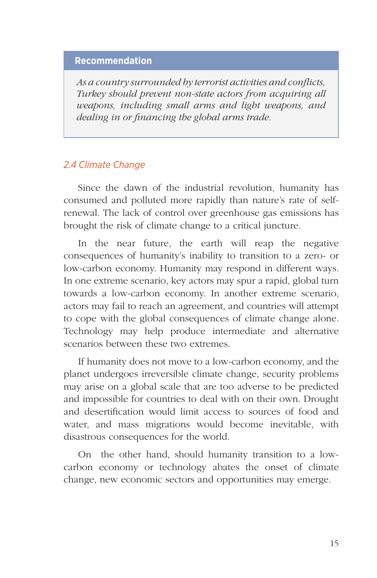# **Recommendation**

*As a country surrounded by terrorist activities and conflicts, Turkey should prevent non-state actors from acquiring all weapons, including small arms and light weapons, and dealing in or financing the global arms trade.* 

# *2.4 Climate Change*

Since the dawn of the industrial revolution, humanity has consumed and polluted more rapidly than nature's rate of selfrenewal. The lack of control over greenhouse gas emissions has brought the risk of climate change to a critical juncture.

In the near future, the earth will reap the negative consequences of humanity's inability to transition to a zero- or low-carbon economy. Humanity may respond in different ways. In one extreme scenario, key actors may spur a rapid, global turn towards a low-carbon economy. In another extreme scenario, actors may fail to reach an agreement, and countries will attempt to cope with the global consequences of climate change alone. Technology may help produce intermediate and alternative scenarios between these two extremes.

If humanity does not move to a low-carbon economy, and the planet undergoes irreversible climate change, security problems may arise on a global scale that are too adverse to be predicted and impossible for countries to deal with on their own. Drought and desertification would limit access to sources of food and water, and mass migrations would become inevitable, with disastrous consequences for the world.

On the other hand, should humanity transition to a lowcarbon economy or technology abates the onset of climate change, new economic sectors and opportunities may emerge.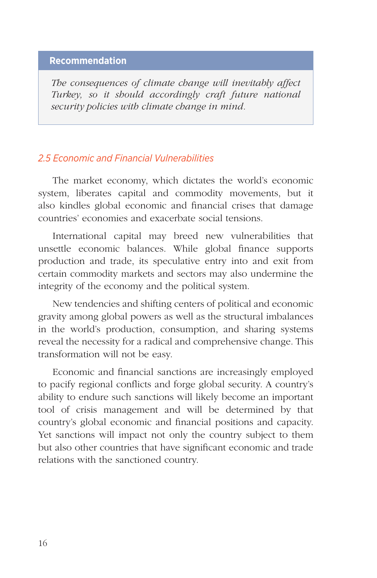# **Recommendation**

*The consequences of climate change will inevitably affect Turkey, so it should accordingly craft future national security policies with climate change in mind.*

# *2.5 Economic and Financial Vulnerabilities*

The market economy, which dictates the world's economic system, liberates capital and commodity movements, but it also kindles global economic and financial crises that damage countries' economies and exacerbate social tensions.

International capital may breed new vulnerabilities that unsettle economic balances. While global finance supports production and trade, its speculative entry into and exit from certain commodity markets and sectors may also undermine the integrity of the economy and the political system.

New tendencies and shifting centers of political and economic gravity among global powers as well as the structural imbalances in the world's production, consumption, and sharing systems reveal the necessity for a radical and comprehensive change. This transformation will not be easy.

Economic and financial sanctions are increasingly employed to pacify regional conflicts and forge global security. A country's ability to endure such sanctions will likely become an important tool of crisis management and will be determined by that country's global economic and financial positions and capacity. Yet sanctions will impact not only the country subject to them but also other countries that have significant economic and trade relations with the sanctioned country.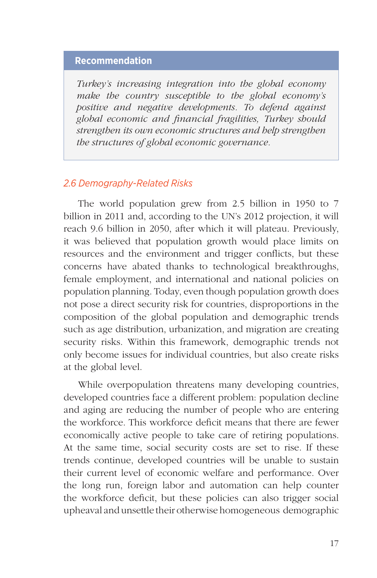# **Recommendation**

*Turkey's increasing integration into the global economy make the country susceptible to the global economy's positive and negative developments. To defend against global economic and financial fragilities, Turkey should strengthen its own economic structures and help strengthen the structures of global economic governance.* 

### *2.6 Demography-Related Risks*

The world population grew from 2.5 billion in 1950 to 7 billion in 2011 and, according to the UN's 2012 projection, it will reach 9.6 billion in 2050, after which it will plateau. Previously, it was believed that population growth would place limits on resources and the environment and trigger conflicts, but these concerns have abated thanks to technological breakthroughs, female employment, and international and national policies on population planning. Today, even though population growth does not pose a direct security risk for countries, disproportions in the composition of the global population and demographic trends such as age distribution, urbanization, and migration are creating security risks. Within this framework, demographic trends not only become issues for individual countries, but also create risks at the global level.

While overpopulation threatens many developing countries, developed countries face a different problem: population decline and aging are reducing the number of people who are entering the workforce. This workforce deficit means that there are fewer economically active people to take care of retiring populations. At the same time, social security costs are set to rise. If these trends continue, developed countries will be unable to sustain their current level of economic welfare and performance. Over the long run, foreign labor and automation can help counter the workforce deficit, but these policies can also trigger social upheaval and unsettle their otherwise homogeneous demographic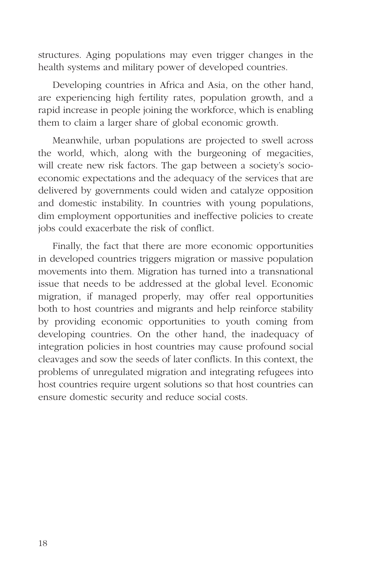structures. Aging populations may even trigger changes in the health systems and military power of developed countries.

Developing countries in Africa and Asia, on the other hand, are experiencing high fertility rates, population growth, and a rapid increase in people joining the workforce, which is enabling them to claim a larger share of global economic growth.

Meanwhile, urban populations are projected to swell across the world, which, along with the burgeoning of megacities, will create new risk factors. The gap between a society's socioeconomic expectations and the adequacy of the services that are delivered by governments could widen and catalyze opposition and domestic instability. In countries with young populations, dim employment opportunities and ineffective policies to create jobs could exacerbate the risk of conflict.

Finally, the fact that there are more economic opportunities in developed countries triggers migration or massive population movements into them. Migration has turned into a transnational issue that needs to be addressed at the global level. Economic migration, if managed properly, may offer real opportunities both to host countries and migrants and help reinforce stability by providing economic opportunities to youth coming from developing countries. On the other hand, the inadequacy of integration policies in host countries may cause profound social cleavages and sow the seeds of later conflicts. In this context, the problems of unregulated migration and integrating refugees into host countries require urgent solutions so that host countries can ensure domestic security and reduce social costs.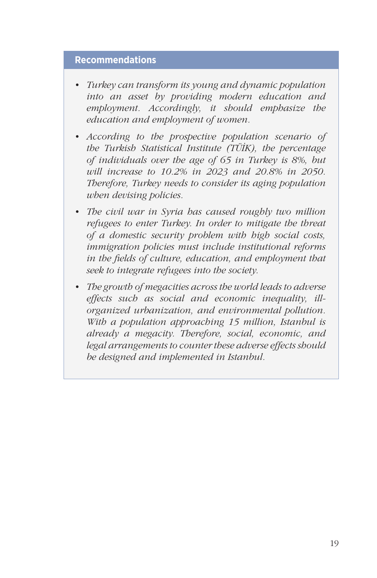### **Recommendations**

- *• Turkey can transform its young and dynamic population into an asset by providing modern education and employment. Accordingly, it should emphasize the education and employment of women.*
- *• According to the prospective population scenario of the Turkish Statistical Institute (TÜİK), the percentage of individuals over the age of 65 in Turkey is 8%, but will increase to 10.2% in 2023 and 20.8% in 2050. Therefore, Turkey needs to consider its aging population when devising policies.*
- *• The civil war in Syria has caused roughly two million refugees to enter Turkey. In order to mitigate the threat of a domestic security problem with high social costs, immigration policies must include institutional reforms in the fields of culture, education, and employment that seek to integrate refugees into the society.*
- *• The growth of megacities across the world leads to adverse effects such as social and economic inequality, illorganized urbanization, and environmental pollution. With a population approaching 15 million, Istanbul is already a megacity. Therefore, social, economic, and legal arrangements to counter these adverse effects should be designed and implemented in Istanbul.*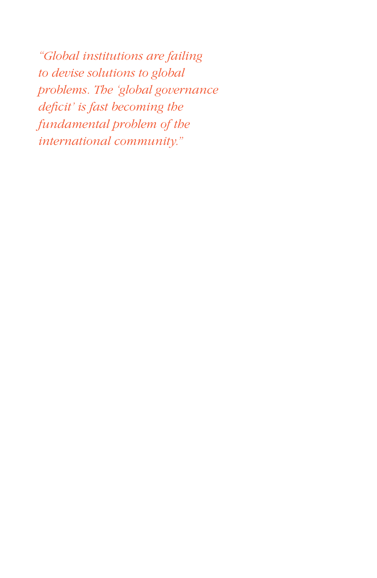*"Global institutions are failing to devise solutions to global problems. The 'global governance deficit' is fast becoming the fundamental problem of the international community."*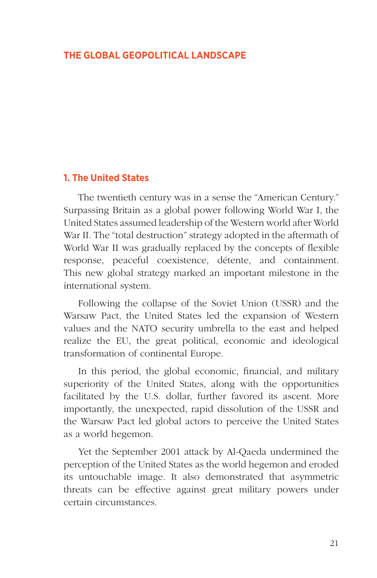### **THE GLOBAL GEOPOLITICAL LANDSCAPE**

### **1. The United States**

The twentieth century was in a sense the "American Century." Surpassing Britain as a global power following World War I, the United States assumed leadership of the Western world after World War II. The "total destruction" strategy adopted in the aftermath of World War II was gradually replaced by the concepts of flexible response, peaceful coexistence, détente, and containment. This new global strategy marked an important milestone in the international system.

Following the collapse of the Soviet Union (USSR) and the Warsaw Pact, the United States led the expansion of Western values and the NATO security umbrella to the east and helped realize the EU, the great political, economic and ideological transformation of continental Europe.

In this period, the global economic, financial, and military superiority of the United States, along with the opportunities facilitated by the U.S. dollar, further favored its ascent. More importantly, the unexpected, rapid dissolution of the USSR and the Warsaw Pact led global actors to perceive the United States as a world hegemon.

 Yet the September 2001 attack by Al-Qaeda undermined the perception of the United States as the world hegemon and eroded its untouchable image. It also demonstrated that asymmetric threats can be effective against great military powers under certain circumstances.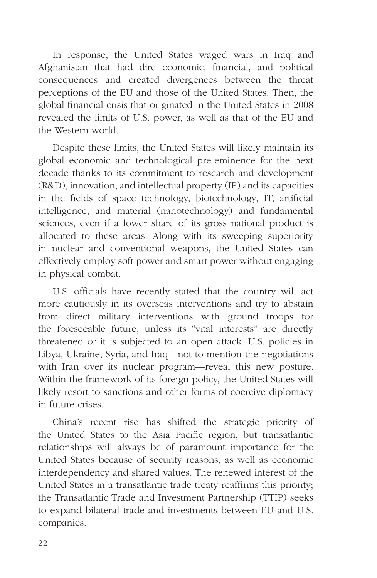In response, the United States waged wars in Iraq and Afghanistan that had dire economic, financial, and political consequences and created divergences between the threat perceptions of the EU and those of the United States. Then, the global financial crisis that originated in the United States in 2008 revealed the limits of U.S. power, as well as that of the EU and the Western world.

Despite these limits, the United States will likely maintain its global economic and technological pre-eminence for the next decade thanks to its commitment to research and development (R&D), innovation, and intellectual property (IP) and its capacities in the fields of space technology, biotechnology, IT, artificial intelligence, and material (nanotechnology) and fundamental sciences, even if a lower share of its gross national product is allocated to these areas. Along with its sweeping superiority in nuclear and conventional weapons, the United States can effectively employ soft power and smart power without engaging in physical combat.

U.S. officials have recently stated that the country will act more cautiously in its overseas interventions and try to abstain from direct military interventions with ground troops for the foreseeable future, unless its "vital interests" are directly threatened or it is subjected to an open attack. U.S. policies in Libya, Ukraine, Syria, and Iraq—not to mention the negotiations with Iran over its nuclear program—reveal this new posture. Within the framework of its foreign policy, the United States will likely resort to sanctions and other forms of coercive diplomacy in future crises.

China's recent rise has shifted the strategic priority of the United States to the Asia Pacific region, but transatlantic relationships will always be of paramount importance for the United States because of security reasons, as well as economic interdependency and shared values. The renewed interest of the United States in a transatlantic trade treaty reaffirms this priority; the Transatlantic Trade and Investment Partnership (TTIP) seeks to expand bilateral trade and investments between EU and U.S. companies.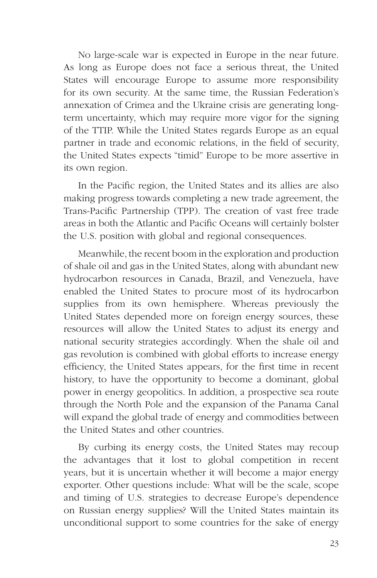No large-scale war is expected in Europe in the near future. As long as Europe does not face a serious threat, the United States will encourage Europe to assume more responsibility for its own security. At the same time, the Russian Federation's annexation of Crimea and the Ukraine crisis are generating longterm uncertainty, which may require more vigor for the signing of the TTIP. While the United States regards Europe as an equal partner in trade and economic relations, in the field of security, the United States expects "timid" Europe to be more assertive in its own region.

In the Pacific region, the United States and its allies are also making progress towards completing a new trade agreement, the Trans-Pacific Partnership (TPP). The creation of vast free trade areas in both the Atlantic and Pacific Oceans will certainly bolster the U.S. position with global and regional consequences.

Meanwhile, the recent boom in the exploration and production of shale oil and gas in the United States, along with abundant new hydrocarbon resources in Canada, Brazil, and Venezuela, have enabled the United States to procure most of its hydrocarbon supplies from its own hemisphere. Whereas previously the United States depended more on foreign energy sources, these resources will allow the United States to adjust its energy and national security strategies accordingly. When the shale oil and gas revolution is combined with global efforts to increase energy efficiency, the United States appears, for the first time in recent history, to have the opportunity to become a dominant, global power in energy geopolitics. In addition, a prospective sea route through the North Pole and the expansion of the Panama Canal will expand the global trade of energy and commodities between the United States and other countries.

By curbing its energy costs, the United States may recoup the advantages that it lost to global competition in recent years, but it is uncertain whether it will become a major energy exporter. Other questions include: What will be the scale, scope and timing of U.S. strategies to decrease Europe's dependence on Russian energy supplies? Will the United States maintain its unconditional support to some countries for the sake of energy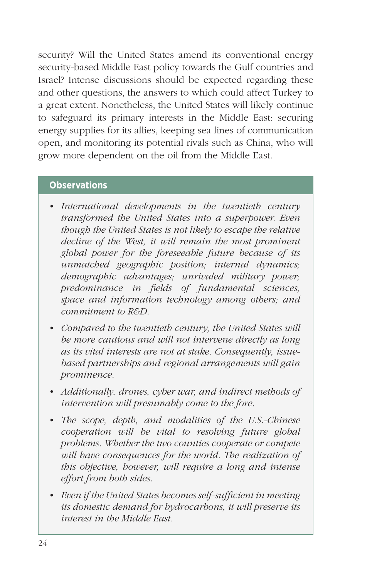security? Will the United States amend its conventional energy security-based Middle East policy towards the Gulf countries and Israel? Intense discussions should be expected regarding these and other questions, the answers to which could affect Turkey to a great extent. Nonetheless, the United States will likely continue to safeguard its primary interests in the Middle East: securing energy supplies for its allies, keeping sea lines of communication open, and monitoring its potential rivals such as China, who will grow more dependent on the oil from the Middle East.

## **Observations**

- *• International developments in the twentieth century transformed the United States into a superpower. Even though the United States is not likely to escape the relative decline of the West, it will remain the most prominent global power for the foreseeable future because of its unmatched geographic position; internal dynamics; demographic advantages; unrivaled military power; predominance in fields of fundamental sciences, space and information technology among others; and commitment to R&D.*
- *• Compared to the twentieth century, the United States will be more cautious and will not intervene directly as long as its vital interests are not at stake. Consequently, issuebased partnerships and regional arrangements will gain prominence.*
- *• Additionally, drones, cyber war, and indirect methods of intervention will presumably come to the fore.*
- *• The scope, depth, and modalities of the U.S.-Chinese cooperation will be vital to resolving future global problems. Whether the two counties cooperate or compete will have consequences for the world. The realization of this objective, however, will require a long and intense effort from both sides.*
- *• Even if the United States becomes self-sufficient in meeting its domestic demand for hydrocarbons, it will preserve its interest in the Middle East.*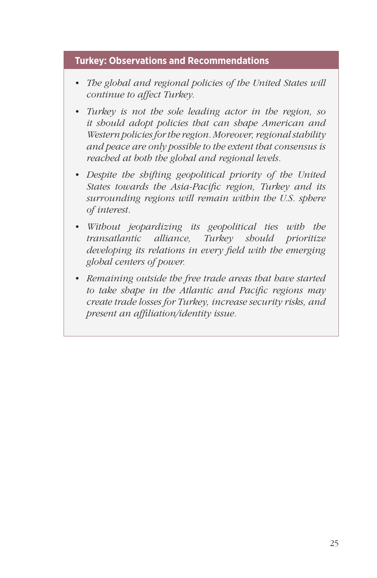# **Turkey: Observations and Recommendations**

- *• The global and regional policies of the United States will continue to affect Turkey.*
- *• Turkey is not the sole leading actor in the region, so it should adopt policies that can shape American and Western policies for the region. Moreover, regional stability and peace are only possible to the extent that consensus is reached at both the global and regional levels.*
- *• Despite the shifting geopolitical priority of the United States towards the Asia-Pacific region, Turkey and its surrounding regions will remain within the U.S. sphere of interest.*
- *• Without jeopardizing its geopolitical ties with the transatlantic alliance, Turkey should prioritize developing its relations in every field with the emerging global centers of power.*
- *• Remaining outside the free trade areas that have started to take shape in the Atlantic and Pacific regions may create trade losses for Turkey, increase security risks, and present an affiliation/identity issue.*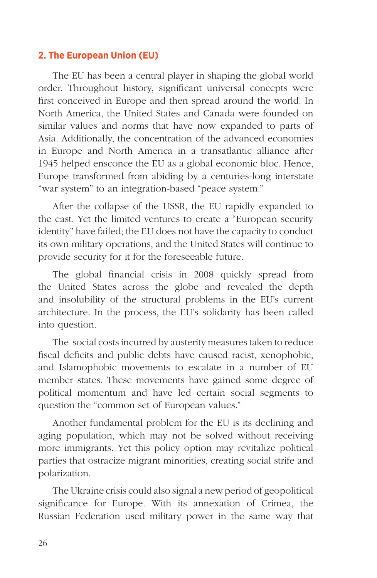## **2. The European Union (EU)**

The EU has been a central player in shaping the global world order. Throughout history, significant universal concepts were first conceived in Europe and then spread around the world. In North America, the United States and Canada were founded on similar values and norms that have now expanded to parts of Asia. Additionally, the concentration of the advanced economies in Europe and North America in a transatlantic alliance after 1945 helped ensconce the EU as a global economic bloc. Hence, Europe transformed from abiding by a centuries-long interstate "war system" to an integration-based "peace system."

After the collapse of the USSR, the EU rapidly expanded to the east. Yet the limited ventures to create a "European security identity" have failed; the EU does not have the capacity to conduct its own military operations, and the United States will continue to provide security for it for the foreseeable future.

The global financial crisis in 2008 quickly spread from the United States across the globe and revealed the depth and insolubility of the structural problems in the EU's current architecture. In the process, the EU's solidarity has been called into question.

The social costs incurred by austerity measures taken to reduce fiscal deficits and public debts have caused racist, xenophobic, and Islamophobic movements to escalate in a number of EU member states. These movements have gained some degree of political momentum and have led certain social segments to question the "common set of European values."

Another fundamental problem for the EU is its declining and aging population, which may not be solved without receiving more immigrants. Yet this policy option may revitalize political parties that ostracize migrant minorities, creating social strife and polarization.

The Ukraine crisis could also signal a new period of geopolitical significance for Europe. With its annexation of Crimea, the Russian Federation used military power in the same way that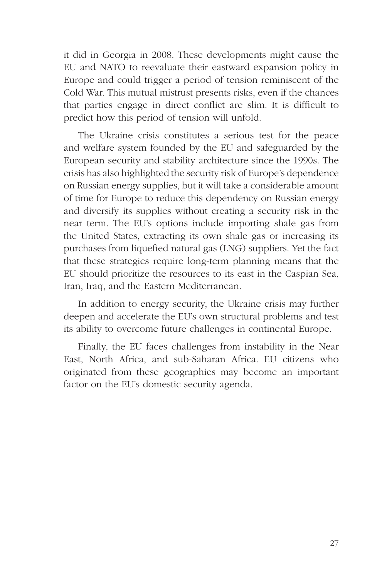it did in Georgia in 2008. These developments might cause the EU and NATO to reevaluate their eastward expansion policy in Europe and could trigger a period of tension reminiscent of the Cold War. This mutual mistrust presents risks, even if the chances that parties engage in direct conflict are slim. It is difficult to predict how this period of tension will unfold.

The Ukraine crisis constitutes a serious test for the peace and welfare system founded by the EU and safeguarded by the European security and stability architecture since the 1990s. The crisis has also highlighted the security risk of Europe's dependence on Russian energy supplies, but it will take a considerable amount of time for Europe to reduce this dependency on Russian energy and diversify its supplies without creating a security risk in the near term. The EU's options include importing shale gas from the United States, extracting its own shale gas or increasing its purchases from liquefied natural gas (LNG) suppliers. Yet the fact that these strategies require long-term planning means that the EU should prioritize the resources to its east in the Caspian Sea, Iran, Iraq, and the Eastern Mediterranean.

In addition to energy security, the Ukraine crisis may further deepen and accelerate the EU's own structural problems and test its ability to overcome future challenges in continental Europe.

Finally, the EU faces challenges from instability in the Near East, North Africa, and sub-Saharan Africa. EU citizens who originated from these geographies may become an important factor on the EU's domestic security agenda.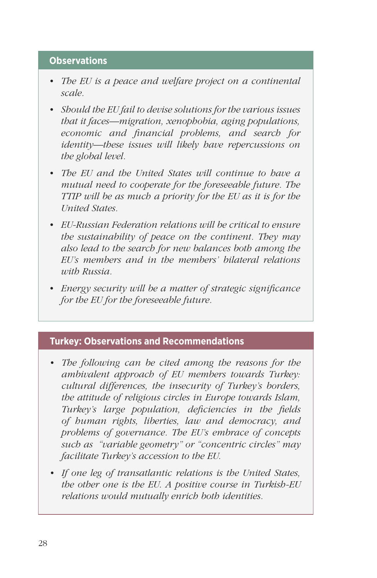## **Observations**

- *• The EU is a peace and welfare project on a continental scale.*
- *• Should the EU fail to devise solutions for the various issues that it faces—migration, xenophobia, aging populations, economic and financial problems, and search for identity—these issues will likely have repercussions on the global level.*
- *• The EU and the United States will continue to have a mutual need to cooperate for the foreseeable future. The TTIP will be as much a priority for the EU as it is for the United States.*
- *• EU-Russian Federation relations will be critical to ensure the sustainability of peace on the continent. They may also lead to the search for new balances both among the EU's members and in the members' bilateral relations with Russia.*
- *• Energy security will be a matter of strategic significance for the EU for the foreseeable future.*

### **Turkey: Observations and Recommendations**

- *• The following can be cited among the reasons for the ambivalent approach of EU members towards Turkey: cultural differences, the insecurity of Turkey's borders, the attitude of religious circles in Europe towards Islam, Turkey's large population, deficiencies in the fields of human rights, liberties, law and democracy, and problems of governance. The EU's embrace of concepts such as "variable geometry" or "concentric circles" may facilitate Turkey's accession to the EU.*
- *• If one leg of transatlantic relations is the United States, the other one is the EU. A positive course in Turkish-EU relations would mutually enrich both identities.*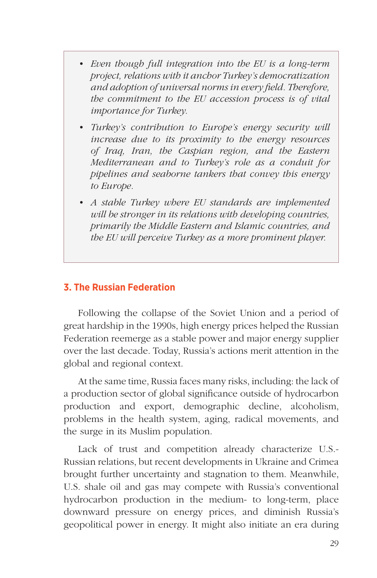- *• Even though full integration into the EU is a long-term project, relations with it anchor Turkey's democratization and adoption of universal norms in every field. Therefore, the commitment to the EU accession process is of vital importance for Turkey.*
- *• Turkey's contribution to Europe's energy security will increase due to its proximity to the energy resources of Iraq, Iran, the Caspian region, and the Eastern Mediterranean and to Turkey's role as a conduit for pipelines and seaborne tankers that convey this energy to Europe.*
- *• A stable Turkey where EU standards are implemented will be stronger in its relations with developing countries, primarily the Middle Eastern and Islamic countries, and the EU will perceive Turkey as a more prominent player.*

### **3. The Russian Federation**

Following the collapse of the Soviet Union and a period of great hardship in the 1990s, high energy prices helped the Russian Federation reemerge as a stable power and major energy supplier over the last decade. Today, Russia's actions merit attention in the global and regional context.

At the same time, Russia faces many risks, including: the lack of a production sector of global significance outside of hydrocarbon production and export, demographic decline, alcoholism, problems in the health system, aging, radical movements, and the surge in its Muslim population.

Lack of trust and competition already characterize U.S.- Russian relations, but recent developments in Ukraine and Crimea brought further uncertainty and stagnation to them. Meanwhile, U.S. shale oil and gas may compete with Russia's conventional hydrocarbon production in the medium- to long-term, place downward pressure on energy prices, and diminish Russia's geopolitical power in energy. It might also initiate an era during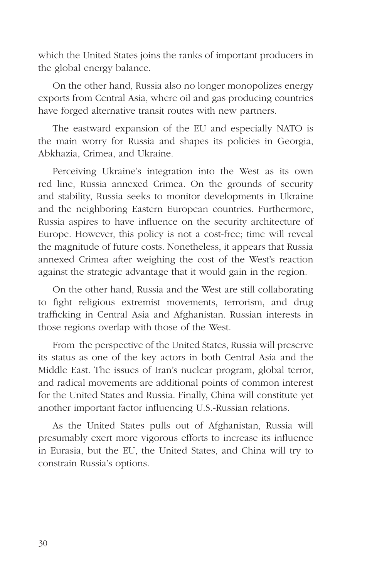which the United States joins the ranks of important producers in the global energy balance.

On the other hand, Russia also no longer monopolizes energy exports from Central Asia, where oil and gas producing countries have forged alternative transit routes with new partners.

The eastward expansion of the EU and especially NATO is the main worry for Russia and shapes its policies in Georgia, Abkhazia, Crimea, and Ukraine.

Perceiving Ukraine's integration into the West as its own red line, Russia annexed Crimea. On the grounds of security and stability, Russia seeks to monitor developments in Ukraine and the neighboring Eastern European countries. Furthermore, Russia aspires to have influence on the security architecture of Europe. However, this policy is not a cost-free; time will reveal the magnitude of future costs. Nonetheless, it appears that Russia annexed Crimea after weighing the cost of the West's reaction against the strategic advantage that it would gain in the region.

On the other hand, Russia and the West are still collaborating to fight religious extremist movements, terrorism, and drug trafficking in Central Asia and Afghanistan. Russian interests in those regions overlap with those of the West.

From the perspective of the United States, Russia will preserve its status as one of the key actors in both Central Asia and the Middle East. The issues of Iran's nuclear program, global terror, and radical movements are additional points of common interest for the United States and Russia. Finally, China will constitute yet another important factor influencing U.S.-Russian relations.

As the United States pulls out of Afghanistan, Russia will presumably exert more vigorous efforts to increase its influence in Eurasia, but the EU, the United States, and China will try to constrain Russia's options.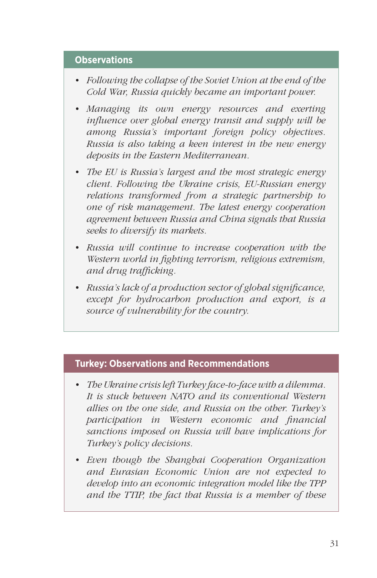### **Observations**

- *• Following the collapse of the Soviet Union at the end of the Cold War, Russia quickly became an important power.*
- *• Managing its own energy resources and exerting influence over global energy transit and supply will be among Russia's important foreign policy objectives. Russia is also taking a keen interest in the new energy deposits in the Eastern Mediterranean.*
- *• The EU is Russia's largest and the most strategic energy client. Following the Ukraine crisis, EU-Russian energy relations transformed from a strategic partnership to one of risk management. The latest energy cooperation agreement between Russia and China signals that Russia seeks to diversify its markets.*
- *• Russia will continue to increase cooperation with the Western world in fighting terrorism, religious extremism, and drug trafficking.*
- *• Russia's lack of a production sector of global significance, except for hydrocarbon production and export, is a source of vulnerability for the country.*

## **Turkey: Observations and Recommendations**

- *• The Ukraine crisis left Turkey face-to-face with a dilemma. It is stuck between NATO and its conventional Western allies on the one side, and Russia on the other. Turkey's participation in Western economic and financial sanctions imposed on Russia will have implications for Turkey's policy decisions.*
- *• Even though the Shanghai Cooperation Organization and Eurasian Economic Union are not expected to develop into an economic integration model like the TPP and the TTIP, the fact that Russia is a member of these*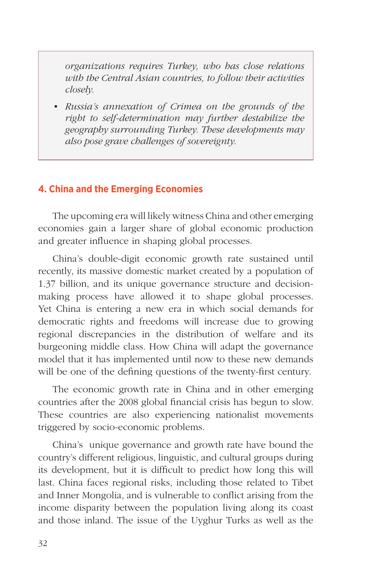*organizations requires Turkey, who has close relations with the Central Asian countries, to follow their activities closely.*

*• Russia's annexation of Crimea on the grounds of the right to self-determination may further destabilize the geography surrounding Turkey. These developments may also pose grave challenges of sovereignty.*

# **4. China and the Emerging Economies**

The upcoming era will likely witness China and other emerging economies gain a larger share of global economic production and greater influence in shaping global processes.

China's double-digit economic growth rate sustained until recently, its massive domestic market created by a population of 1.37 billion, and its unique governance structure and decisionmaking process have allowed it to shape global processes. Yet China is entering a new era in which social demands for democratic rights and freedoms will increase due to growing regional discrepancies in the distribution of welfare and its burgeoning middle class. How China will adapt the governance model that it has implemented until now to these new demands will be one of the defining questions of the twenty-first century.

The economic growth rate in China and in other emerging countries after the 2008 global financial crisis has begun to slow. These countries are also experiencing nationalist movements triggered by socio-economic problems.

China's unique governance and growth rate have bound the country's different religious, linguistic, and cultural groups during its development, but it is difficult to predict how long this will last. China faces regional risks, including those related to Tibet and Inner Mongolia, and is vulnerable to conflict arising from the income disparity between the population living along its coast and those inland. The issue of the Uyghur Turks as well as the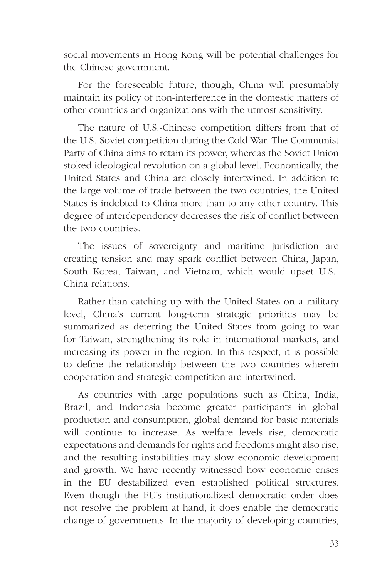social movements in Hong Kong will be potential challenges for the Chinese government.

For the foreseeable future, though, China will presumably maintain its policy of non-interference in the domestic matters of other countries and organizations with the utmost sensitivity.

The nature of U.S.-Chinese competition differs from that of the U.S.-Soviet competition during the Cold War. The Communist Party of China aims to retain its power, whereas the Soviet Union stoked ideological revolution on a global level. Economically, the United States and China are closely intertwined. In addition to the large volume of trade between the two countries, the United States is indebted to China more than to any other country. This degree of interdependency decreases the risk of conflict between the two countries.

The issues of sovereignty and maritime jurisdiction are creating tension and may spark conflict between China, Japan, South Korea, Taiwan, and Vietnam, which would upset U.S.- China relations.

Rather than catching up with the United States on a military level, China's current long-term strategic priorities may be summarized as deterring the United States from going to war for Taiwan, strengthening its role in international markets, and increasing its power in the region. In this respect, it is possible to define the relationship between the two countries wherein cooperation and strategic competition are intertwined.

As countries with large populations such as China, India, Brazil, and Indonesia become greater participants in global production and consumption, global demand for basic materials will continue to increase. As welfare levels rise, democratic expectations and demands for rights and freedoms might also rise, and the resulting instabilities may slow economic development and growth. We have recently witnessed how economic crises in the EU destabilized even established political structures. Even though the EU's institutionalized democratic order does not resolve the problem at hand, it does enable the democratic change of governments. In the majority of developing countries,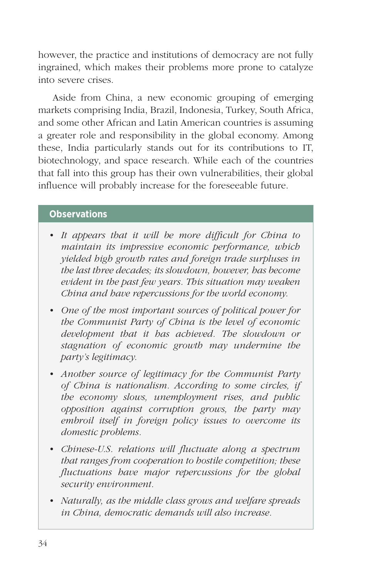however, the practice and institutions of democracy are not fully ingrained, which makes their problems more prone to catalyze into severe crises.

Aside from China, a new economic grouping of emerging markets comprising India, Brazil, Indonesia, Turkey, South Africa, and some other African and Latin American countries is assuming a greater role and responsibility in the global economy. Among these, India particularly stands out for its contributions to IT, biotechnology, and space research. While each of the countries that fall into this group has their own vulnerabilities, their global influence will probably increase for the foreseeable future.

## **Observations**

- *• It appears that it will be more difficult for China to maintain its impressive economic performance, which yielded high growth rates and foreign trade surpluses in the last three decades; its slowdown, however, has become evident in the past few years. This situation may weaken China and have repercussions for the world economy.*
- *• One of the most important sources of political power for the Communist Party of China is the level of economic development that it has achieved. The slowdown or stagnation of economic growth may undermine the party's legitimacy.*
- *• Another source of legitimacy for the Communist Party of China is nationalism. According to some circles, if the economy slows, unemployment rises, and public opposition against corruption grows, the party may embroil itself in foreign policy issues to overcome its domestic problems.*
- *• Chinese-U.S. relations will fluctuate along a spectrum that ranges from cooperation to hostile competition; these fluctuations have major repercussions for the global security environment.*
- *• Naturally, as the middle class grows and welfare spreads in China, democratic demands will also increase.*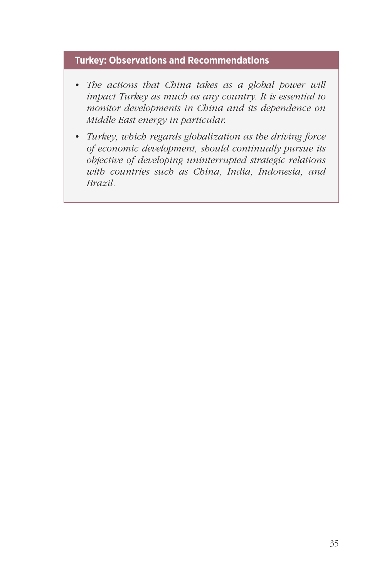## **Turkey: Observations and Recommendations**

- *• The actions that China takes as a global power will impact Turkey as much as any country. It is essential to monitor developments in China and its dependence on Middle East energy in particular.*
- *• Turkey, which regards globalization as the driving force of economic development, should continually pursue its objective of developing uninterrupted strategic relations with countries such as China, India, Indonesia, and Brazil.*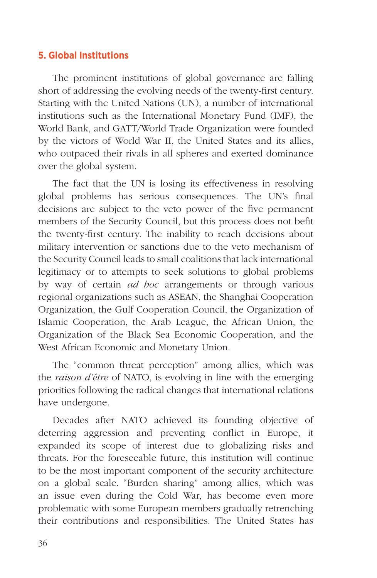## **5. Global Institutions**

The prominent institutions of global governance are falling short of addressing the evolving needs of the twenty-first century. Starting with the United Nations (UN), a number of international institutions such as the International Monetary Fund (IMF), the World Bank, and GATT/World Trade Organization were founded by the victors of World War II, the United States and its allies, who outpaced their rivals in all spheres and exerted dominance over the global system.

The fact that the UN is losing its effectiveness in resolving global problems has serious consequences. The UN's final decisions are subject to the veto power of the five permanent members of the Security Council, but this process does not befit the twenty-first century. The inability to reach decisions about military intervention or sanctions due to the veto mechanism of the Security Council leads to small coalitions that lack international legitimacy or to attempts to seek solutions to global problems by way of certain *ad hoc* arrangements or through various regional organizations such as ASEAN, the Shanghai Cooperation Organization, the Gulf Cooperation Council, the Organization of Islamic Cooperation, the Arab League, the African Union, the Organization of the Black Sea Economic Cooperation, and the West African Economic and Monetary Union.

The "common threat perception" among allies, which was the *raison d'être* of NATO, is evolving in line with the emerging priorities following the radical changes that international relations have undergone.

Decades after NATO achieved its founding objective of deterring aggression and preventing conflict in Europe, it expanded its scope of interest due to globalizing risks and threats. For the foreseeable future, this institution will continue to be the most important component of the security architecture on a global scale. "Burden sharing" among allies, which was an issue even during the Cold War, has become even more problematic with some European members gradually retrenching their contributions and responsibilities. The United States has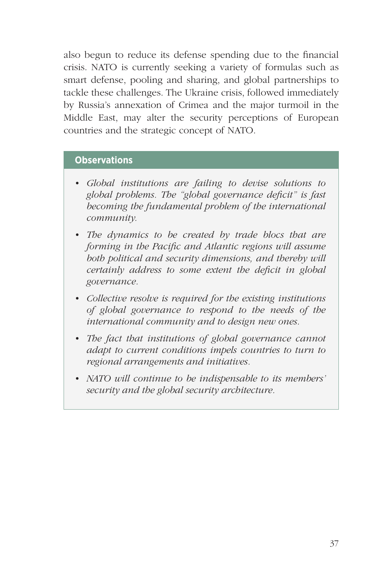also begun to reduce its defense spending due to the financial crisis. NATO is currently seeking a variety of formulas such as smart defense, pooling and sharing, and global partnerships to tackle these challenges. The Ukraine crisis, followed immediately by Russia's annexation of Crimea and the major turmoil in the Middle East, may alter the security perceptions of European countries and the strategic concept of NATO.

### **Observations**

- *• Global institutions are failing to devise solutions to global problems. The "global governance deficit" is fast becoming the fundamental problem of the international community.*
- *• The dynamics to be created by trade blocs that are forming in the Pacific and Atlantic regions will assume both political and security dimensions, and thereby will certainly address to some extent the deficit in global governance.*
- *• Collective resolve is required for the existing institutions of global governance to respond to the needs of the international community and to design new ones.*
- *• The fact that institutions of global governance cannot adapt to current conditions impels countries to turn to regional arrangements and initiatives.*
- *• NATO will continue to be indispensable to its members' security and the global security architecture.*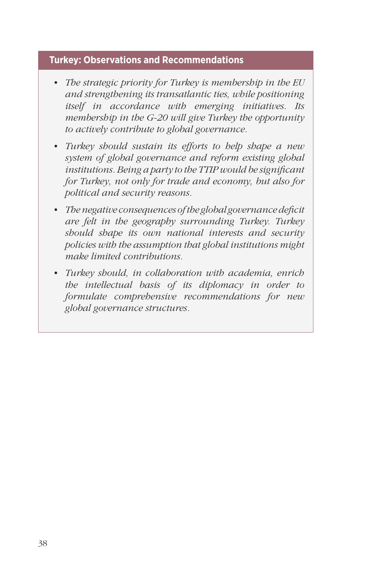# **Turkey: Observations and Recommendations**

- *• The strategic priority for Turkey is membership in the EU and strengthening its transatlantic ties, while positioning itself in accordance with emerging initiatives. Its membership in the G-20 will give Turkey the opportunity to actively contribute to global governance.*
- *• Turkey should sustain its efforts to help shape a new system of global governance and reform existing global institutions. Being a party to the TTIP would be significant for Turkey, not only for trade and economy, but also for political and security reasons.*
- *• The negative consequences of the global governance deficit are felt in the geography surrounding Turkey. Turkey should shape its own national interests and security policies with the assumption that global institutions might make limited contributions.*
- *• Turkey should, in collaboration with academia, enrich the intellectual basis of its diplomacy in order to formulate comprehensive recommendations for new global governance structures.*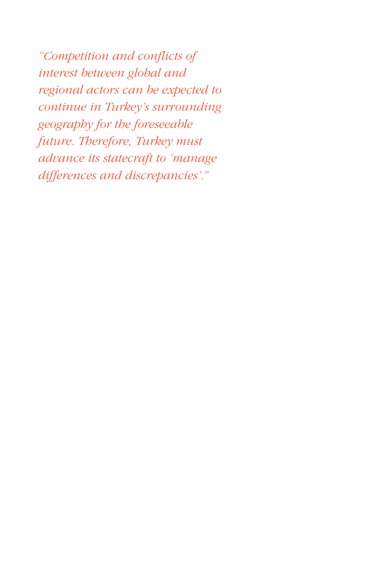*"Competition and conflicts of interest between global and regional actors can be expected to continue in Turkey's surrounding geography for the foreseeable future. Therefore, Turkey must advance its statecraft to 'manage differences and discrepancies'."*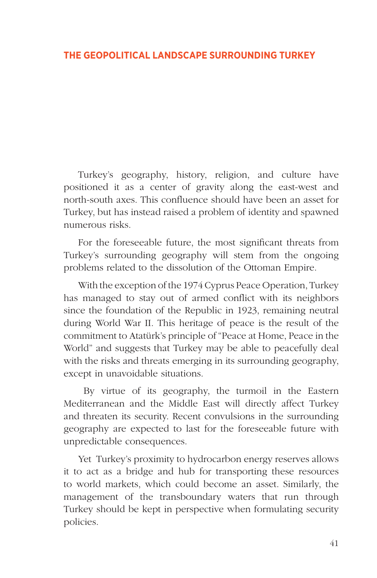## **THE GEOPOLITICAL LANDSCAPE SURROUNDING TURKEY**

Turkey's geography, history, religion, and culture have positioned it as a center of gravity along the east-west and north-south axes. This confluence should have been an asset for Turkey, but has instead raised a problem of identity and spawned numerous risks.

For the foreseeable future, the most significant threats from Turkey's surrounding geography will stem from the ongoing problems related to the dissolution of the Ottoman Empire.

With the exception of the 1974 Cyprus Peace Operation, Turkey has managed to stay out of armed conflict with its neighbors since the foundation of the Republic in 1923, remaining neutral during World War II. This heritage of peace is the result of the commitment to Atatürk's principle of "Peace at Home, Peace in the World" and suggests that Turkey may be able to peacefully deal with the risks and threats emerging in its surrounding geography, except in unavoidable situations.

 By virtue of its geography, the turmoil in the Eastern Mediterranean and the Middle East will directly affect Turkey and threaten its security. Recent convulsions in the surrounding geography are expected to last for the foreseeable future with unpredictable consequences.

Yet Turkey's proximity to hydrocarbon energy reserves allows it to act as a bridge and hub for transporting these resources to world markets, which could become an asset. Similarly, the management of the transboundary waters that run through Turkey should be kept in perspective when formulating security policies.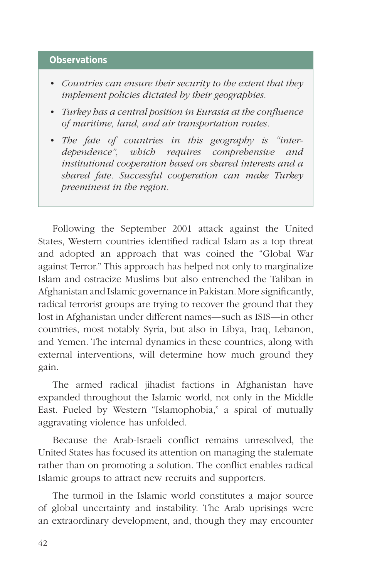### **Observations**

- *• Countries can ensure their security to the extent that they implement policies dictated by their geographies.*
- *• Turkey has a central position in Eurasia at the confluence of maritime, land, and air transportation routes.*
- *• The fate of countries in this geography is "interdependence", which requires comprehensive and institutional cooperation based on shared interests and a shared fate. Successful cooperation can make Turkey preeminent in the region.*

Following the September 2001 attack against the United States, Western countries identified radical Islam as a top threat and adopted an approach that was coined the "Global War against Terror." This approach has helped not only to marginalize Islam and ostracize Muslims but also entrenched the Taliban in Afghanistan and Islamic governance in Pakistan. More significantly, radical terrorist groups are trying to recover the ground that they lost in Afghanistan under different names—such as ISIS—in other countries, most notably Syria, but also in Libya, Iraq, Lebanon, and Yemen. The internal dynamics in these countries, along with external interventions, will determine how much ground they gain.

The armed radical jihadist factions in Afghanistan have expanded throughout the Islamic world, not only in the Middle East. Fueled by Western "Islamophobia," a spiral of mutually aggravating violence has unfolded.

Because the Arab-Israeli conflict remains unresolved, the United States has focused its attention on managing the stalemate rather than on promoting a solution. The conflict enables radical Islamic groups to attract new recruits and supporters.

The turmoil in the Islamic world constitutes a major source of global uncertainty and instability. The Arab uprisings were an extraordinary development, and, though they may encounter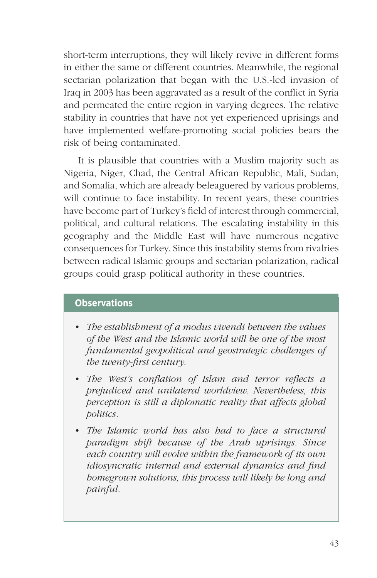short-term interruptions, they will likely revive in different forms in either the same or different countries. Meanwhile, the regional sectarian polarization that began with the U.S.-led invasion of Iraq in 2003 has been aggravated as a result of the conflict in Syria and permeated the entire region in varying degrees. The relative stability in countries that have not yet experienced uprisings and have implemented welfare-promoting social policies bears the risk of being contaminated.

It is plausible that countries with a Muslim majority such as Nigeria, Niger, Chad, the Central African Republic, Mali, Sudan, and Somalia, which are already beleaguered by various problems, will continue to face instability. In recent years, these countries have become part of Turkey's field of interest through commercial, political, and cultural relations. The escalating instability in this geography and the Middle East will have numerous negative consequences for Turkey. Since this instability stems from rivalries between radical Islamic groups and sectarian polarization, radical groups could grasp political authority in these countries.

### **Observations**

- *• The establishment of a modus vivendi between the values of the West and the Islamic world will be one of the most fundamental geopolitical and geostrategic challenges of the twenty-first century.*
- *• The West's conflation of Islam and terror reflects a prejudiced and unilateral worldview. Nevertheless, this perception is still a diplomatic reality that affects global politics.*
- *• The Islamic world has also had to face a structural paradigm shift because of the Arab uprisings. Since each country will evolve within the framework of its own idiosyncratic internal and external dynamics and find homegrown solutions, this process will likely be long and painful.*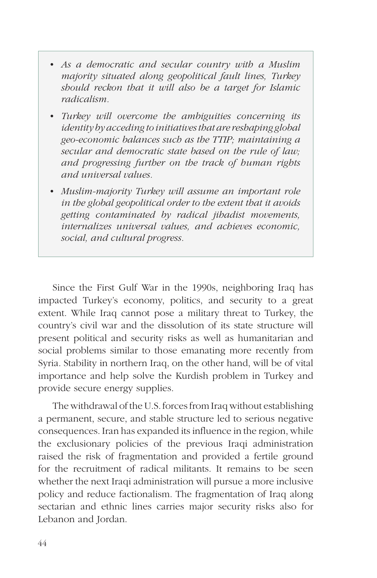- *• As a democratic and secular country with a Muslim majority situated along geopolitical fault lines, Turkey should reckon that it will also be a target for Islamic radicalism.*
- *• Turkey will overcome the ambiguities concerning its identity by acceding to initiatives that are reshaping global geo-economic balances such as the TTIP; maintaining a secular and democratic state based on the rule of law; and progressing further on the track of human rights and universal values.*
- *• Muslim-majority Turkey will assume an important role in the global geopolitical order to the extent that it avoids getting contaminated by radical jihadist movements, internalizes universal values, and achieves economic, social, and cultural progress.*

Since the First Gulf War in the 1990s, neighboring Iraq has impacted Turkey's economy, politics, and security to a great extent. While Iraq cannot pose a military threat to Turkey, the country's civil war and the dissolution of its state structure will present political and security risks as well as humanitarian and social problems similar to those emanating more recently from Syria. Stability in northern Iraq, on the other hand, will be of vital importance and help solve the Kurdish problem in Turkey and provide secure energy supplies.

The withdrawal of the U.S. forces from Iraq without establishing a permanent, secure, and stable structure led to serious negative consequences. Iran has expanded its influence in the region, while the exclusionary policies of the previous Iraqi administration raised the risk of fragmentation and provided a fertile ground for the recruitment of radical militants. It remains to be seen whether the next Iraqi administration will pursue a more inclusive policy and reduce factionalism. The fragmentation of Iraq along sectarian and ethnic lines carries major security risks also for Lebanon and Jordan.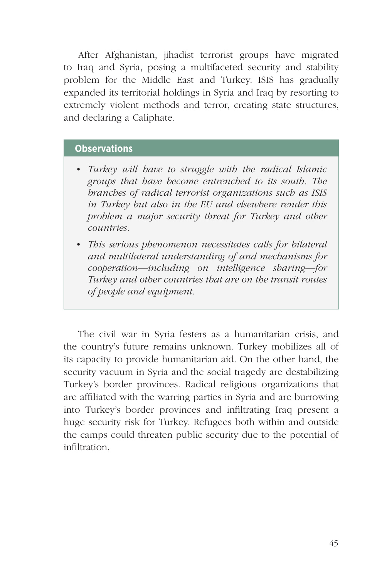After Afghanistan, jihadist terrorist groups have migrated to Iraq and Syria, posing a multifaceted security and stability problem for the Middle East and Turkey. ISIS has gradually expanded its territorial holdings in Syria and Iraq by resorting to extremely violent methods and terror, creating state structures, and declaring a Caliphate.

### **Observations**

- *• Turkey will have to struggle with the radical Islamic groups that have become entrenched to its south. The branches of radical terrorist organizations such as ISIS in Turkey but also in the EU and elsewhere render this problem a major security threat for Turkey and other countries.*
- *• This serious phenomenon necessitates calls for bilateral and multilateral understanding of and mechanisms for cooperation—including on intelligence sharing—for Turkey and other countries that are on the transit routes of people and equipment.*

The civil war in Syria festers as a humanitarian crisis, and the country's future remains unknown. Turkey mobilizes all of its capacity to provide humanitarian aid. On the other hand, the security vacuum in Syria and the social tragedy are destabilizing Turkey's border provinces. Radical religious organizations that are affiliated with the warring parties in Syria and are burrowing into Turkey's border provinces and infiltrating Iraq present a huge security risk for Turkey. Refugees both within and outside the camps could threaten public security due to the potential of infiltration.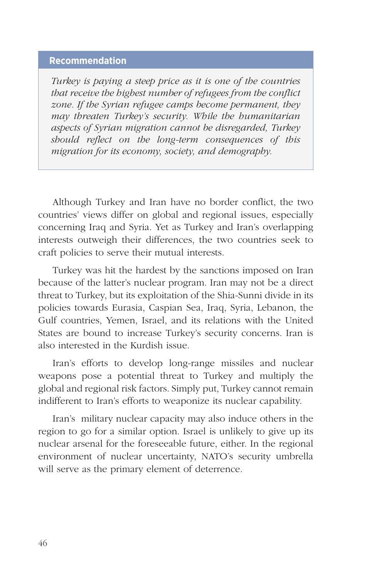## **Recommendation**

*Turkey is paying a steep price as it is one of the countries that receive the highest number of refugees from the conflict zone. If the Syrian refugee camps become permanent, they may threaten Turkey's security. While the humanitarian aspects of Syrian migration cannot be disregarded, Turkey should reflect on the long-term consequences of this migration for its economy, society, and demography.* 

Although Turkey and Iran have no border conflict, the two countries' views differ on global and regional issues, especially concerning Iraq and Syria. Yet as Turkey and Iran's overlapping interests outweigh their differences, the two countries seek to craft policies to serve their mutual interests.

Turkey was hit the hardest by the sanctions imposed on Iran because of the latter's nuclear program. Iran may not be a direct threat to Turkey, but its exploitation of the Shia-Sunni divide in its policies towards Eurasia, Caspian Sea, Iraq, Syria, Lebanon, the Gulf countries, Yemen, Israel, and its relations with the United States are bound to increase Turkey's security concerns. Iran is also interested in the Kurdish issue.

Iran's efforts to develop long-range missiles and nuclear weapons pose a potential threat to Turkey and multiply the global and regional risk factors. Simply put, Turkey cannot remain indifferent to Iran's efforts to weaponize its nuclear capability.

Iran's military nuclear capacity may also induce others in the region to go for a similar option. Israel is unlikely to give up its nuclear arsenal for the foreseeable future, either. In the regional environment of nuclear uncertainty, NATO's security umbrella will serve as the primary element of deterrence.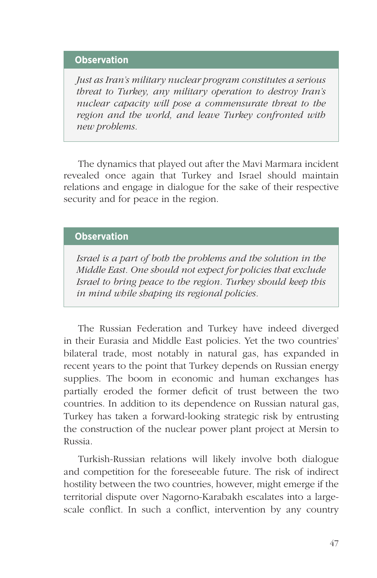### **Observation**

*Just as Iran's military nuclear program constitutes a serious threat to Turkey, any military operation to destroy Iran's nuclear capacity will pose a commensurate threat to the region and the world, and leave Turkey confronted with new problems.*

The dynamics that played out after the Mavi Marmara incident revealed once again that Turkey and Israel should maintain relations and engage in dialogue for the sake of their respective security and for peace in the region.

## **Observation**

*Israel is a part of both the problems and the solution in the Middle East. One should not expect for policies that exclude Israel to bring peace to the region. Turkey should keep this in mind while shaping its regional policies.*

The Russian Federation and Turkey have indeed diverged in their Eurasia and Middle East policies. Yet the two countries' bilateral trade, most notably in natural gas, has expanded in recent years to the point that Turkey depends on Russian energy supplies. The boom in economic and human exchanges has partially eroded the former deficit of trust between the two countries. In addition to its dependence on Russian natural gas, Turkey has taken a forward-looking strategic risk by entrusting the construction of the nuclear power plant project at Mersin to Russia.

Turkish-Russian relations will likely involve both dialogue and competition for the foreseeable future. The risk of indirect hostility between the two countries, however, might emerge if the territorial dispute over Nagorno-Karabakh escalates into a largescale conflict. In such a conflict, intervention by any country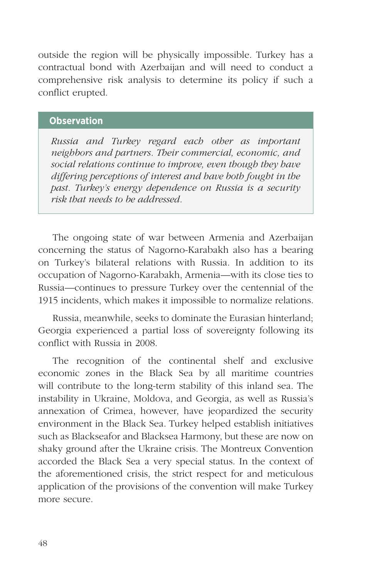outside the region will be physically impossible. Turkey has a contractual bond with Azerbaijan and will need to conduct a comprehensive risk analysis to determine its policy if such a conflict erupted.

### **Observation**

*Russia and Turkey regard each other as important neighbors and partners. Their commercial, economic, and social relations continue to improve, even though they have differing perceptions of interest and have both fought in the past. Turkey's energy dependence on Russia is a security risk that needs to be addressed.*

The ongoing state of war between Armenia and Azerbaijan concerning the status of Nagorno-Karabakh also has a bearing on Turkey's bilateral relations with Russia. In addition to its occupation of Nagorno-Karabakh, Armenia—with its close ties to Russia—continues to pressure Turkey over the centennial of the 1915 incidents, which makes it impossible to normalize relations.

Russia, meanwhile, seeks to dominate the Eurasian hinterland; Georgia experienced a partial loss of sovereignty following its conflict with Russia in 2008.

The recognition of the continental shelf and exclusive economic zones in the Black Sea by all maritime countries will contribute to the long-term stability of this inland sea. The instability in Ukraine, Moldova, and Georgia, as well as Russia's annexation of Crimea, however, have jeopardized the security environment in the Black Sea. Turkey helped establish initiatives such as Blackseafor and Blacksea Harmony, but these are now on shaky ground after the Ukraine crisis. The Montreux Convention accorded the Black Sea a very special status. In the context of the aforementioned crisis, the strict respect for and meticulous application of the provisions of the convention will make Turkey more secure.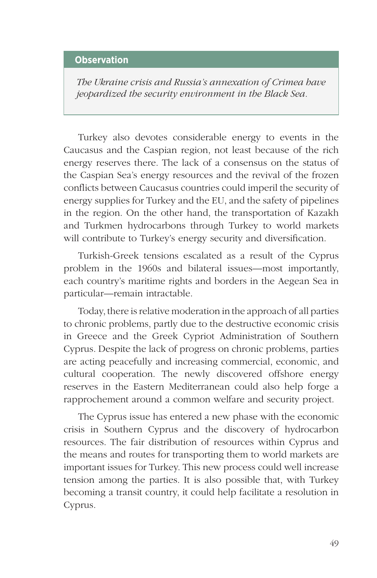## **Observation**

*The Ukraine crisis and Russia's annexation of Crimea have jeopardized the security environment in the Black Sea.*

Turkey also devotes considerable energy to events in the Caucasus and the Caspian region, not least because of the rich energy reserves there. The lack of a consensus on the status of the Caspian Sea's energy resources and the revival of the frozen conflicts between Caucasus countries could imperil the security of energy supplies for Turkey and the EU, and the safety of pipelines in the region. On the other hand, the transportation of Kazakh and Turkmen hydrocarbons through Turkey to world markets will contribute to Turkey's energy security and diversification.

Turkish-Greek tensions escalated as a result of the Cyprus problem in the 1960s and bilateral issues—most importantly, each country's maritime rights and borders in the Aegean Sea in particular—remain intractable.

Today, there is relative moderation in the approach of all parties to chronic problems, partly due to the destructive economic crisis in Greece and the Greek Cypriot Administration of Southern Cyprus. Despite the lack of progress on chronic problems, parties are acting peacefully and increasing commercial, economic, and cultural cooperation. The newly discovered offshore energy reserves in the Eastern Mediterranean could also help forge a rapprochement around a common welfare and security project.

The Cyprus issue has entered a new phase with the economic crisis in Southern Cyprus and the discovery of hydrocarbon resources. The fair distribution of resources within Cyprus and the means and routes for transporting them to world markets are important issues for Turkey. This new process could well increase tension among the parties. It is also possible that, with Turkey becoming a transit country, it could help facilitate a resolution in Cyprus.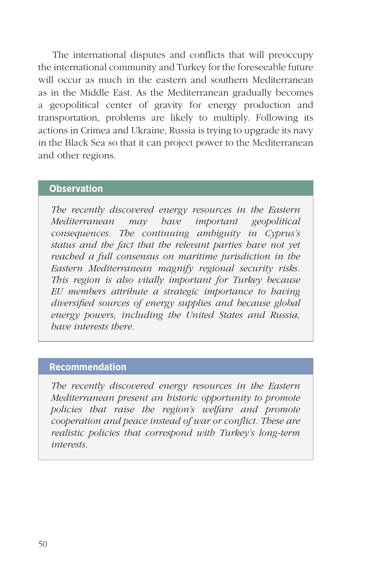The international disputes and conflicts that will preoccupy the international community and Turkey for the foreseeable future will occur as much in the eastern and southern Mediterranean as in the Middle East. As the Mediterranean gradually becomes a geopolitical center of gravity for energy production and transportation, problems are likely to multiply. Following its actions in Crimea and Ukraine, Russia is trying to upgrade its navy in the Black Sea so that it can project power to the Mediterranean and other regions.

### **Observation**

*The recently discovered energy resources in the Eastern Mediterranean may have important geopolitical consequences. The continuing ambiguity in Cyprus's status and the fact that the relevant parties have not yet reached a full consensus on maritime jurisdiction in the Eastern Mediterranean magnify regional security risks. This region is also vitally important for Turkey because EU members attribute a strategic importance to having diversified sources of energy supplies and because global energy powers, including the United States and Russia, have interests there.* 

### **Recommendation**

*The recently discovered energy resources in the Eastern Mediterranean present an historic opportunity to promote policies that raise the region's welfare and promote cooperation and peace instead of war or conflict. These are realistic policies that correspond with Turkey's long-term interests.*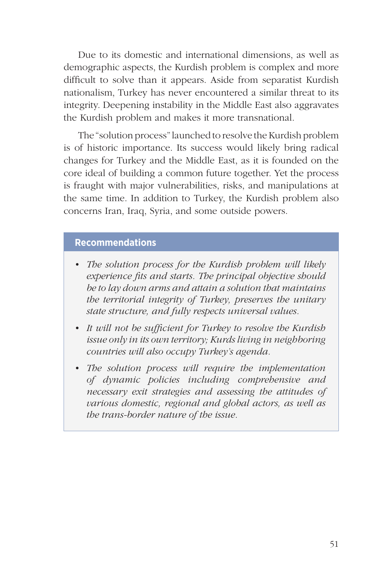Due to its domestic and international dimensions, as well as demographic aspects, the Kurdish problem is complex and more difficult to solve than it appears. Aside from separatist Kurdish nationalism, Turkey has never encountered a similar threat to its integrity. Deepening instability in the Middle East also aggravates the Kurdish problem and makes it more transnational.

The "solution process" launched to resolve the Kurdish problem is of historic importance. Its success would likely bring radical changes for Turkey and the Middle East, as it is founded on the core ideal of building a common future together. Yet the process is fraught with major vulnerabilities, risks, and manipulations at the same time. In addition to Turkey, the Kurdish problem also concerns Iran, Iraq, Syria, and some outside powers.

### **Recommendations**

- *• The solution process for the Kurdish problem will likely experience fits and starts. The principal objective should be to lay down arms and attain a solution that maintains the territorial integrity of Turkey, preserves the unitary state structure, and fully respects universal values.*
- *• It will not be sufficient for Turkey to resolve the Kurdish issue only in its own territory; Kurds living in neighboring countries will also occupy Turkey's agenda.*
- *• The solution process will require the implementation of dynamic policies including comprehensive and necessary exit strategies and assessing the attitudes of various domestic, regional and global actors, as well as the trans-border nature of the issue.*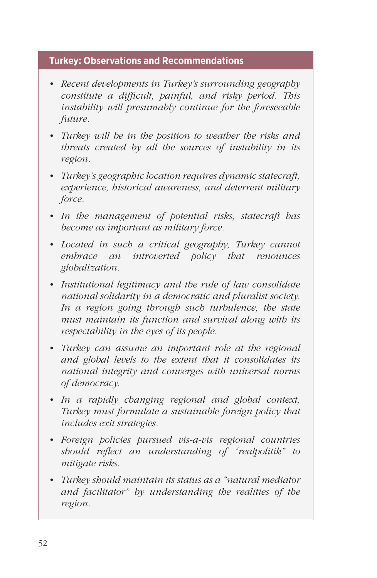# **Turkey: Observations and Recommendations**

- *• Recent developments in Turkey's surrounding geography constitute a difficult, painful, and risky period. This instability will presumably continue for the foreseeable future.*
- *• Turkey will be in the position to weather the risks and threats created by all the sources of instability in its region.*
- *• Turkey's geographic location requires dynamic statecraft, experience, historical awareness, and deterrent military force.*
- *• In the management of potential risks, statecraft has become as important as military force.*
- *• Located in such a critical geography, Turkey cannot embrace an introverted policy that renounces globalization.*
- *• Institutional legitimacy and the rule of law consolidate national solidarity in a democratic and pluralist society. In a region going through such turbulence, the state must maintain its function and survival along with its respectability in the eyes of its people.*
- *• Turkey can assume an important role at the regional and global levels to the extent that it consolidates its national integrity and converges with universal norms of democracy.*
- *• In a rapidly changing regional and global context, Turkey must formulate a sustainable foreign policy that includes exit strategies.*
- *• Foreign policies pursued vis-a-vis regional countries should reflect an understanding of "realpolitik" to mitigate risks.*
- *• Turkey should maintain its status as a "natural mediator and facilitator" by understanding the realities of the region.*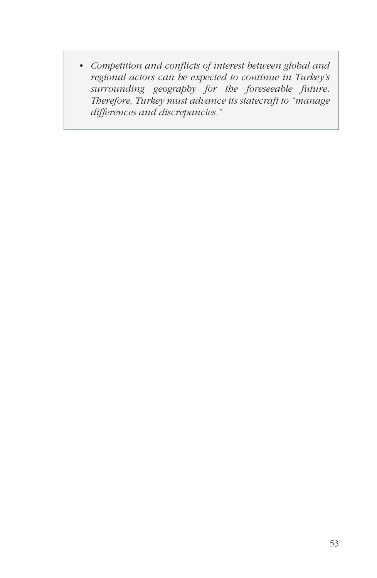*• Competition and conflicts of interest between global and regional actors can be expected to continue in Turkey's surrounding geography for the foreseeable future. Therefore, Turkey must advance its statecraft to "manage differences and discrepancies."*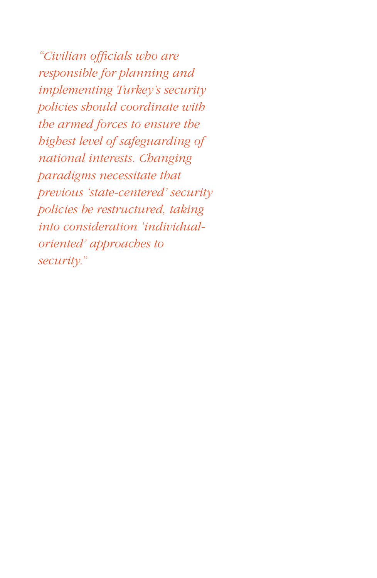*"Civilian officials who are responsible for planning and implementing Turkey's security policies should coordinate with the armed forces to ensure the highest level of safeguarding of national interests. Changing paradigms necessitate that previous 'state-centered' security policies be restructured, taking into consideration 'individualoriented' approaches to security."*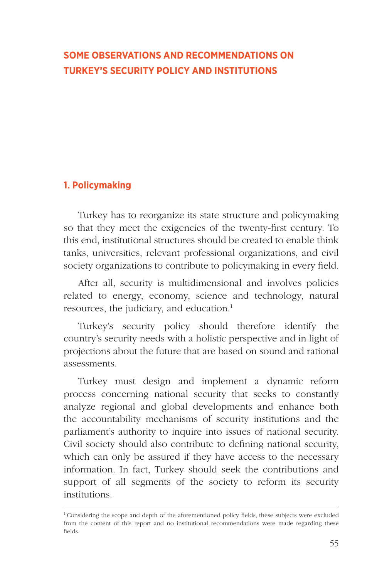# **SOME OBSERVATIONS AND RECOMMENDATIONS ON TURKEY'S SECURITY POLICY AND INSTITUTIONS**

## **1. Policymaking**

Turkey has to reorganize its state structure and policymaking so that they meet the exigencies of the twenty-first century. To this end, institutional structures should be created to enable think tanks, universities, relevant professional organizations, and civil society organizations to contribute to policymaking in every field.

After all, security is multidimensional and involves policies related to energy, economy, science and technology, natural resources, the judiciary, and education.<sup>1</sup>

Turkey's security policy should therefore identify the country's security needs with a holistic perspective and in light of projections about the future that are based on sound and rational assessments.

Turkey must design and implement a dynamic reform process concerning national security that seeks to constantly analyze regional and global developments and enhance both the accountability mechanisms of security institutions and the parliament's authority to inquire into issues of national security. Civil society should also contribute to defining national security, which can only be assured if they have access to the necessary information. In fact, Turkey should seek the contributions and support of all segments of the society to reform its security institutions.

<sup>&</sup>lt;sup>1</sup> Considering the scope and depth of the aforementioned policy fields, these subjects were excluded from the content of this report and no institutional recommendations were made regarding these fields.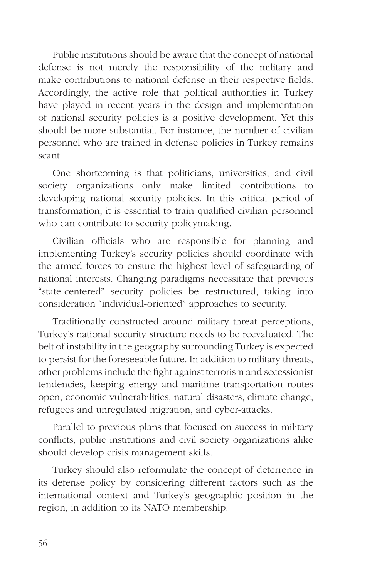Public institutions should be aware that the concept of national defense is not merely the responsibility of the military and make contributions to national defense in their respective fields. Accordingly, the active role that political authorities in Turkey have played in recent years in the design and implementation of national security policies is a positive development. Yet this should be more substantial. For instance, the number of civilian personnel who are trained in defense policies in Turkey remains scant.

One shortcoming is that politicians, universities, and civil society organizations only make limited contributions to developing national security policies. In this critical period of transformation, it is essential to train qualified civilian personnel who can contribute to security policymaking.

Civilian officials who are responsible for planning and implementing Turkey's security policies should coordinate with the armed forces to ensure the highest level of safeguarding of national interests. Changing paradigms necessitate that previous "state-centered" security policies be restructured, taking into consideration "individual-oriented" approaches to security.

Traditionally constructed around military threat perceptions, Turkey's national security structure needs to be reevaluated. The belt of instability in the geography surrounding Turkey is expected to persist for the foreseeable future. In addition to military threats, other problems include the fight against terrorism and secessionist tendencies, keeping energy and maritime transportation routes open, economic vulnerabilities, natural disasters, climate change, refugees and unregulated migration, and cyber-attacks.

Parallel to previous plans that focused on success in military conflicts, public institutions and civil society organizations alike should develop crisis management skills.

Turkey should also reformulate the concept of deterrence in its defense policy by considering different factors such as the international context and Turkey's geographic position in the region, in addition to its NATO membership.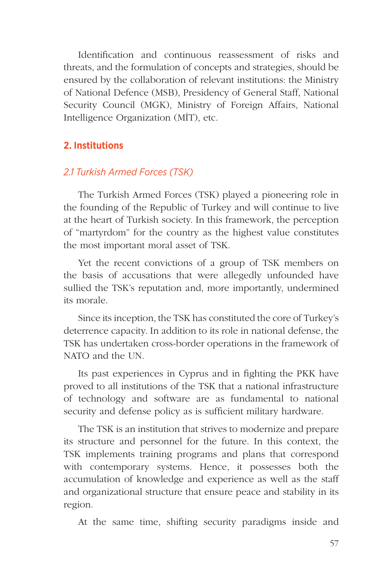Identification and continuous reassessment of risks and threats, and the formulation of concepts and strategies, should be ensured by the collaboration of relevant institutions: the Ministry of National Defence (MSB), Presidency of General Staff, National Security Council (MGK), Ministry of Foreign Affairs, National Intelligence Organization (MİT), etc.

# **2. Institutions**

# *2.1 Turkish Armed Forces (TSK)*

The Turkish Armed Forces (TSK) played a pioneering role in the founding of the Republic of Turkey and will continue to live at the heart of Turkish society. In this framework, the perception of "martyrdom" for the country as the highest value constitutes the most important moral asset of TSK.

Yet the recent convictions of a group of TSK members on the basis of accusations that were allegedly unfounded have sullied the TSK's reputation and, more importantly, undermined its morale.

Since its inception, the TSK has constituted the core of Turkey's deterrence capacity. In addition to its role in national defense, the TSK has undertaken cross-border operations in the framework of NATO and the UN.

Its past experiences in Cyprus and in fighting the PKK have proved to all institutions of the TSK that a national infrastructure of technology and software are as fundamental to national security and defense policy as is sufficient military hardware.

The TSK is an institution that strives to modernize and prepare its structure and personnel for the future. In this context, the TSK implements training programs and plans that correspond with contemporary systems. Hence, it possesses both the accumulation of knowledge and experience as well as the staff and organizational structure that ensure peace and stability in its region.

At the same time, shifting security paradigms inside and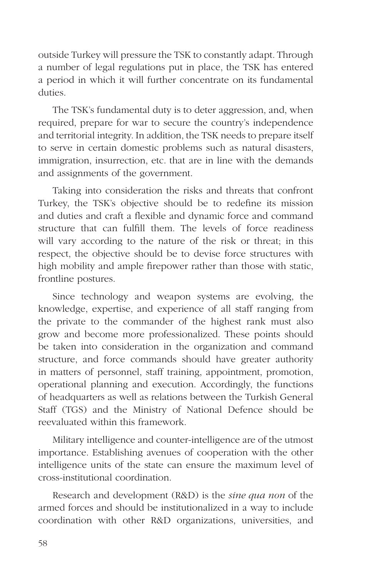outside Turkey will pressure the TSK to constantly adapt. Through a number of legal regulations put in place, the TSK has entered a period in which it will further concentrate on its fundamental duties.

The TSK's fundamental duty is to deter aggression, and, when required, prepare for war to secure the country's independence and territorial integrity. In addition, the TSK needs to prepare itself to serve in certain domestic problems such as natural disasters, immigration, insurrection, etc. that are in line with the demands and assignments of the government.

Taking into consideration the risks and threats that confront Turkey, the TSK's objective should be to redefine its mission and duties and craft a flexible and dynamic force and command structure that can fulfill them. The levels of force readiness will vary according to the nature of the risk or threat; in this respect, the objective should be to devise force structures with high mobility and ample firepower rather than those with static, frontline postures.

Since technology and weapon systems are evolving, the knowledge, expertise, and experience of all staff ranging from the private to the commander of the highest rank must also grow and become more professionalized. These points should be taken into consideration in the organization and command structure, and force commands should have greater authority in matters of personnel, staff training, appointment, promotion, operational planning and execution. Accordingly, the functions of headquarters as well as relations between the Turkish General Staff (TGS) and the Ministry of National Defence should be reevaluated within this framework.

Military intelligence and counter-intelligence are of the utmost importance. Establishing avenues of cooperation with the other intelligence units of the state can ensure the maximum level of cross-institutional coordination.

Research and development (R&D) is the *sine qua non* of the armed forces and should be institutionalized in a way to include coordination with other R&D organizations, universities, and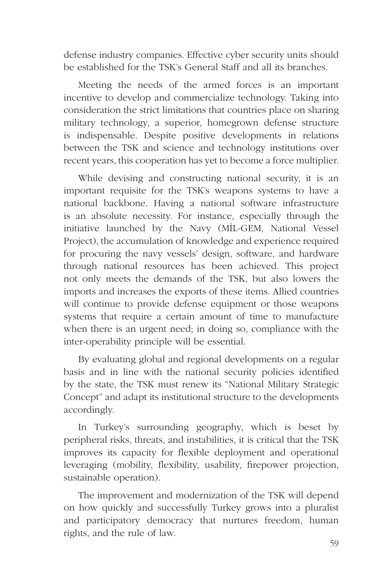defense industry companies. Effective cyber security units should be established for the TSK's General Staff and all its branches.

Meeting the needs of the armed forces is an important incentive to develop and commercialize technology. Taking into consideration the strict limitations that countries place on sharing military technology, a superior, homegrown defense structure is indispensable. Despite positive developments in relations between the TSK and science and technology institutions over recent years, this cooperation has yet to become a force multiplier.

While devising and constructing national security, it is an important requisite for the TSK's weapons systems to have a national backbone. Having a national software infrastructure is an absolute necessity. For instance, especially through the initiative launched by the Navy (MİL-GEM, National Vessel Project), the accumulation of knowledge and experience required for procuring the navy vessels' design, software, and hardware through national resources has been achieved. This project not only meets the demands of the TSK, but also lowers the imports and increases the exports of these items. Allied countries will continue to provide defense equipment or those weapons systems that require a certain amount of time to manufacture when there is an urgent need; in doing so, compliance with the inter-operability principle will be essential.

By evaluating global and regional developments on a regular basis and in line with the national security policies identified by the state, the TSK must renew its "National Military Strategic Concept" and adapt its institutional structure to the developments accordingly.

In Turkey's surrounding geography, which is beset by peripheral risks, threats, and instabilities, it is critical that the TSK improves its capacity for flexible deployment and operational leveraging (mobility, flexibility, usability, firepower projection, sustainable operation).

The improvement and modernization of the TSK will depend on how quickly and successfully Turkey grows into a pluralist and participatory democracy that nurtures freedom, human rights, and the rule of law.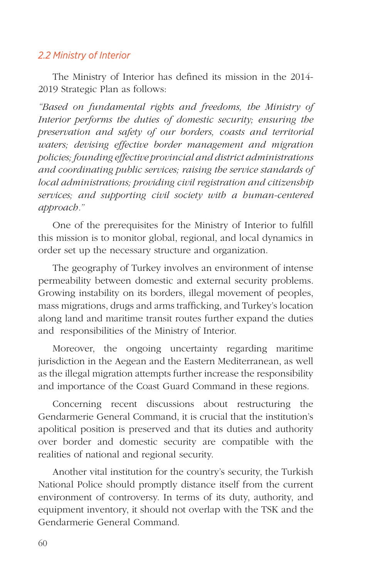# *2.2 Ministry of Interior*

The Ministry of Interior has defined its mission in the 2014- 2019 Strategic Plan as follows:

*"Based on fundamental rights and freedoms, the Ministry of Interior performs the duties of domestic security; ensuring the preservation and safety of our borders, coasts and territorial waters; devising effective border management and migration policies; founding effective provincial and district administrations and coordinating public services; raising the service standards of local administrations; providing civil registration and citizenship services; and supporting civil society with a human-centered approach."* 

One of the prerequisites for the Ministry of Interior to fulfill this mission is to monitor global, regional, and local dynamics in order set up the necessary structure and organization.

The geography of Turkey involves an environment of intense permeability between domestic and external security problems. Growing instability on its borders, illegal movement of peoples, mass migrations, drugs and arms trafficking, and Turkey's location along land and maritime transit routes further expand the duties and responsibilities of the Ministry of Interior.

Moreover, the ongoing uncertainty regarding maritime jurisdiction in the Aegean and the Eastern Mediterranean, as well as the illegal migration attempts further increase the responsibility and importance of the Coast Guard Command in these regions.

Concerning recent discussions about restructuring the Gendarmerie General Command, it is crucial that the institution's apolitical position is preserved and that its duties and authority over border and domestic security are compatible with the realities of national and regional security.

Another vital institution for the country's security, the Turkish National Police should promptly distance itself from the current environment of controversy. In terms of its duty, authority, and equipment inventory, it should not overlap with the TSK and the Gendarmerie General Command.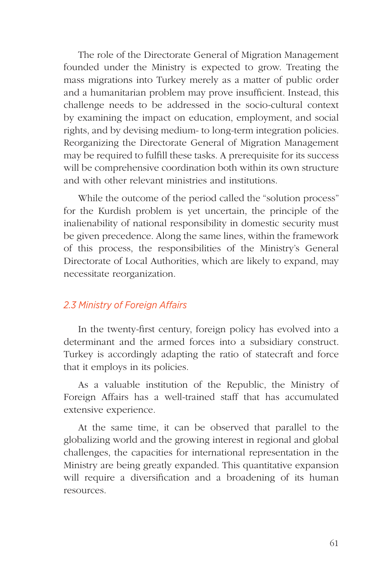The role of the Directorate General of Migration Management founded under the Ministry is expected to grow. Treating the mass migrations into Turkey merely as a matter of public order and a humanitarian problem may prove insufficient. Instead, this challenge needs to be addressed in the socio-cultural context by examining the impact on education, employment, and social rights, and by devising medium- to long-term integration policies. Reorganizing the Directorate General of Migration Management may be required to fulfill these tasks. A prerequisite for its success will be comprehensive coordination both within its own structure and with other relevant ministries and institutions.

While the outcome of the period called the "solution process" for the Kurdish problem is yet uncertain, the principle of the inalienability of national responsibility in domestic security must be given precedence. Along the same lines, within the framework of this process, the responsibilities of the Ministry's General Directorate of Local Authorities, which are likely to expand, may necessitate reorganization.

## *2.3 Ministry of Foreign Affairs*

In the twenty-first century, foreign policy has evolved into a determinant and the armed forces into a subsidiary construct. Turkey is accordingly adapting the ratio of statecraft and force that it employs in its policies.

As a valuable institution of the Republic, the Ministry of Foreign Affairs has a well-trained staff that has accumulated extensive experience.

At the same time, it can be observed that parallel to the globalizing world and the growing interest in regional and global challenges, the capacities for international representation in the Ministry are being greatly expanded. This quantitative expansion will require a diversification and a broadening of its human resources.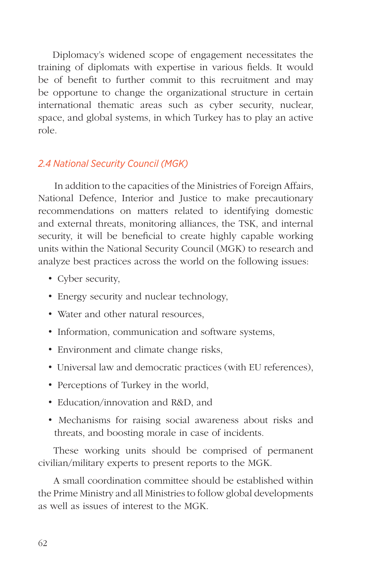Diplomacy's widened scope of engagement necessitates the training of diplomats with expertise in various fields. It would be of benefit to further commit to this recruitment and may be opportune to change the organizational structure in certain international thematic areas such as cyber security, nuclear, space, and global systems, in which Turkey has to play an active role.

# *2.4 National Security Council (MGK)*

In addition to the capacities of the Ministries of Foreign Affairs, National Defence, Interior and Justice to make precautionary recommendations on matters related to identifying domestic and external threats, monitoring alliances, the TSK, and internal security, it will be beneficial to create highly capable working units within the National Security Council (MGK) to research and analyze best practices across the world on the following issues:

- Cyber security,
- Energy security and nuclear technology,
- Water and other natural resources.
- Information, communication and software systems,
- Environment and climate change risks,
- Universal law and democratic practices (with EU references),
- Perceptions of Turkey in the world,
- Education/innovation and R&D, and
- Mechanisms for raising social awareness about risks and threats, and boosting morale in case of incidents.

These working units should be comprised of permanent civilian/military experts to present reports to the MGK.

A small coordination committee should be established within the Prime Ministry and all Ministries to follow global developments as well as issues of interest to the MGK.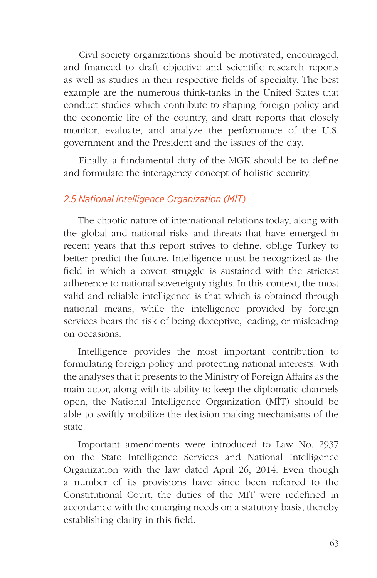Civil society organizations should be motivated, encouraged, and financed to draft objective and scientific research reports as well as studies in their respective fields of specialty. The best example are the numerous think-tanks in the United States that conduct studies which contribute to shaping foreign policy and the economic life of the country, and draft reports that closely monitor, evaluate, and analyze the performance of the U.S. government and the President and the issues of the day.

Finally, a fundamental duty of the MGK should be to define and formulate the interagency concept of holistic security.

# *2.5 National Intelligence Organization (MİT)*

The chaotic nature of international relations today, along with the global and national risks and threats that have emerged in recent years that this report strives to define, oblige Turkey to better predict the future. Intelligence must be recognized as the field in which a covert struggle is sustained with the strictest adherence to national sovereignty rights. In this context, the most valid and reliable intelligence is that which is obtained through national means, while the intelligence provided by foreign services bears the risk of being deceptive, leading, or misleading on occasions.

Intelligence provides the most important contribution to formulating foreign policy and protecting national interests. With the analyses that it presents to the Ministry of Foreign Affairs as the main actor, along with its ability to keep the diplomatic channels open, the National Intelligence Organization (MİT) should be able to swiftly mobilize the decision-making mechanisms of the state.

Important amendments were introduced to Law No. 2937 on the State Intelligence Services and National Intelligence Organization with the law dated April 26, 2014. Even though a number of its provisions have since been referred to the Constitutional Court, the duties of the MIT were redefined in accordance with the emerging needs on a statutory basis, thereby establishing clarity in this field.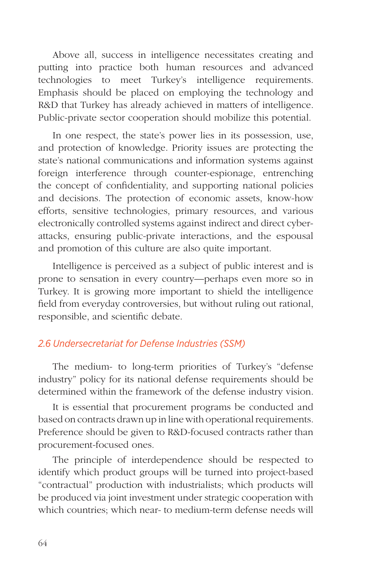Above all, success in intelligence necessitates creating and putting into practice both human resources and advanced technologies to meet Turkey's intelligence requirements. Emphasis should be placed on employing the technology and R&D that Turkey has already achieved in matters of intelligence. Public-private sector cooperation should mobilize this potential.

In one respect, the state's power lies in its possession, use, and protection of knowledge. Priority issues are protecting the state's national communications and information systems against foreign interference through counter-espionage, entrenching the concept of confidentiality, and supporting national policies and decisions. The protection of economic assets, know-how efforts, sensitive technologies, primary resources, and various electronically controlled systems against indirect and direct cyberattacks, ensuring public-private interactions, and the espousal and promotion of this culture are also quite important.

Intelligence is perceived as a subject of public interest and is prone to sensation in every country—perhaps even more so in Turkey. It is growing more important to shield the intelligence field from everyday controversies, but without ruling out rational, responsible, and scientific debate.

# *2.6 Undersecretariat for Defense Industries (SSM)*

The medium- to long-term priorities of Turkey's "defense industry" policy for its national defense requirements should be determined within the framework of the defense industry vision.

It is essential that procurement programs be conducted and based on contracts drawn up in line with operational requirements. Preference should be given to R&D-focused contracts rather than procurement-focused ones.

The principle of interdependence should be respected to identify which product groups will be turned into project-based "contractual" production with industrialists; which products will be produced via joint investment under strategic cooperation with which countries; which near- to medium-term defense needs will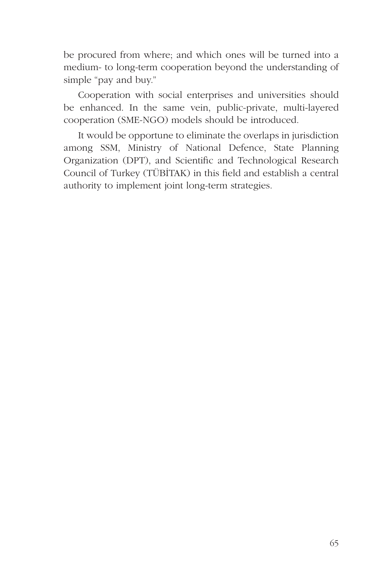be procured from where; and which ones will be turned into a medium- to long-term cooperation beyond the understanding of simple "pay and buy."

Cooperation with social enterprises and universities should be enhanced. In the same vein, public-private, multi-layered cooperation (SME-NGO) models should be introduced.

It would be opportune to eliminate the overlaps in jurisdiction among SSM, Ministry of National Defence, State Planning Organization (DPT), and Scientific and Technological Research Council of Turkey (TÜBİTAK) in this field and establish a central authority to implement joint long-term strategies.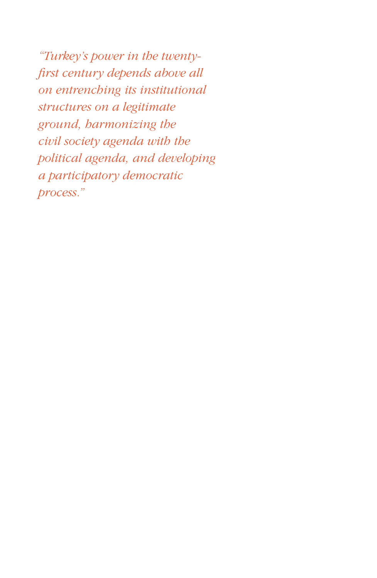*"Turkey's power in the twentyfirst century depends above all on entrenching its institutional structures on a legitimate ground, harmonizing the civil society agenda with the political agenda, and developing a participatory democratic process."*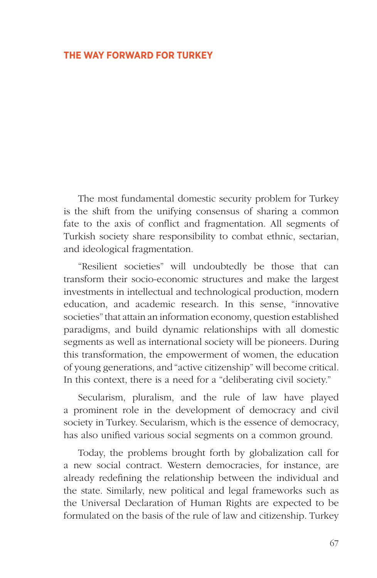## **THE WAY FORWARD FOR TURKEY**

The most fundamental domestic security problem for Turkey is the shift from the unifying consensus of sharing a common fate to the axis of conflict and fragmentation. All segments of Turkish society share responsibility to combat ethnic, sectarian, and ideological fragmentation.

"Resilient societies" will undoubtedly be those that can transform their socio-economic structures and make the largest investments in intellectual and technological production, modern education, and academic research. In this sense, "innovative societies" that attain an information economy, question established paradigms, and build dynamic relationships with all domestic segments as well as international society will be pioneers. During this transformation, the empowerment of women, the education of young generations, and "active citizenship" will become critical. In this context, there is a need for a "deliberating civil society."

Secularism, pluralism, and the rule of law have played a prominent role in the development of democracy and civil society in Turkey. Secularism, which is the essence of democracy, has also unified various social segments on a common ground.

Today, the problems brought forth by globalization call for a new social contract. Western democracies, for instance, are already redefining the relationship between the individual and the state. Similarly, new political and legal frameworks such as the Universal Declaration of Human Rights are expected to be formulated on the basis of the rule of law and citizenship. Turkey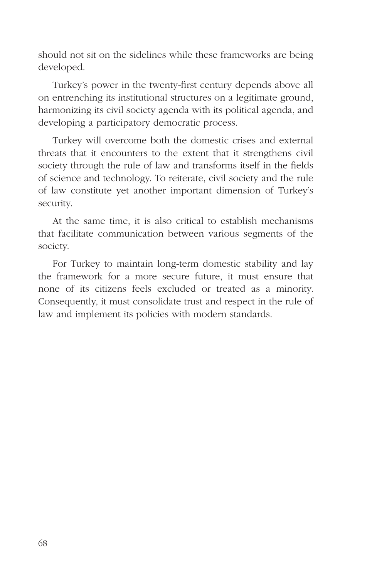should not sit on the sidelines while these frameworks are being developed.

Turkey's power in the twenty-first century depends above all on entrenching its institutional structures on a legitimate ground, harmonizing its civil society agenda with its political agenda, and developing a participatory democratic process.

Turkey will overcome both the domestic crises and external threats that it encounters to the extent that it strengthens civil society through the rule of law and transforms itself in the fields of science and technology. To reiterate, civil society and the rule of law constitute yet another important dimension of Turkey's security.

At the same time, it is also critical to establish mechanisms that facilitate communication between various segments of the society.

For Turkey to maintain long-term domestic stability and lay the framework for a more secure future, it must ensure that none of its citizens feels excluded or treated as a minority. Consequently, it must consolidate trust and respect in the rule of law and implement its policies with modern standards.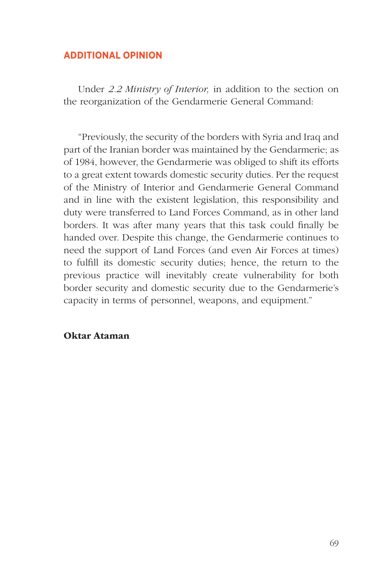## **ADDITIONAL OPINION**

Under *2.2 Ministry of Interior,* in addition to the section on the reorganization of the Gendarmerie General Command:

"Previously, the security of the borders with Syria and Iraq and part of the Iranian border was maintained by the Gendarmerie; as of 1984, however, the Gendarmerie was obliged to shift its efforts to a great extent towards domestic security duties. Per the request of the Ministry of Interior and Gendarmerie General Command and in line with the existent legislation, this responsibility and duty were transferred to Land Forces Command, as in other land borders. It was after many years that this task could finally be handed over. Despite this change, the Gendarmerie continues to need the support of Land Forces (and even Air Forces at times) to fulfill its domestic security duties; hence, the return to the previous practice will inevitably create vulnerability for both border security and domestic security due to the Gendarmerie's capacity in terms of personnel, weapons, and equipment."

# Oktar Ataman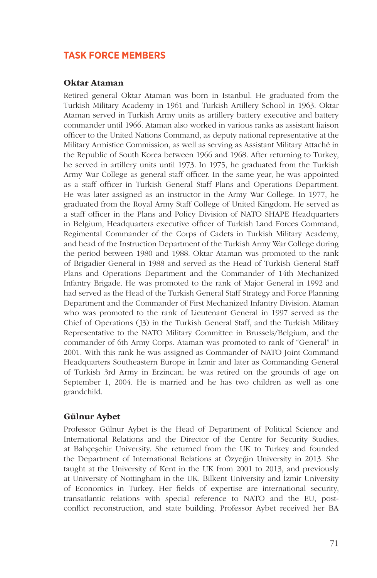# **TASK FORCE MEMBERS**

### Oktar Ataman

Retired general Oktar Ataman was born in Istanbul. He graduated from the Turkish Military Academy in 1961 and Turkish Artillery School in 1963. Oktar Ataman served in Turkish Army units as artillery battery executive and battery commander until 1966. Ataman also worked in various ranks as assistant liaison officer to the United Nations Command, as deputy national representative at the Military Armistice Commission, as well as serving as Assistant Military Attaché in the Republic of South Korea between 1966 and 1968. After returning to Turkey, he served in artillery units until 1973. In 1975, he graduated from the Turkish Army War College as general staff officer. In the same year, he was appointed as a staff officer in Turkish General Staff Plans and Operations Department. He was later assigned as an instructor in the Army War College. In 1977, he graduated from the Royal Army Staff College of United Kingdom. He served as a staff officer in the Plans and Policy Division of NATO SHAPE Headquarters in Belgium, Headquarters executive officer of Turkish Land Forces Command, Regimental Commander of the Corps of Cadets in Turkish Military Academy, and head of the Instruction Department of the Turkish Army War College during the period between 1980 and 1988. Oktar Ataman was promoted to the rank of Brigadier General in 1988 and served as the Head of Turkish General Staff Plans and Operations Department and the Commander of 14th Mechanized Infantry Brigade. He was promoted to the rank of Major General in 1992 and had served as the Head of the Turkish General Staff Strategy and Force Planning Department and the Commander of First Mechanized Infantry Division. Ataman who was promoted to the rank of Lieutenant General in 1997 served as the Chief of Operations (J3) in the Turkish General Staff, and the Turkish Military Representative to the NATO Military Committee in Brussels/Belgium, and the commander of 6th Army Corps. Ataman was promoted to rank of "General" in 2001. With this rank he was assigned as Commander of NATO Joint Command Headquarters Southeastern Europe in İzmir and later as Commanding General of Turkish 3rd Army in Erzincan; he was retired on the grounds of age on September 1, 2004. He is married and he has two children as well as one grandchild.

### Gülnur Aybet

Professor Gülnur Aybet is the Head of Department of Political Science and International Relations and the Director of the Centre for Security Studies, at Bahçeşehir University. She returned from the UK to Turkey and founded the Department of International Relations at Özyeğin University in 2013. She taught at the University of Kent in the UK from 2001 to 2013, and previously at University of Nottingham in the UK, Bilkent University and İzmir University of Economics in Turkey. Her fields of expertise are international security, transatlantic relations with special reference to NATO and the EU, postconflict reconstruction, and state building. Professor Aybet received her BA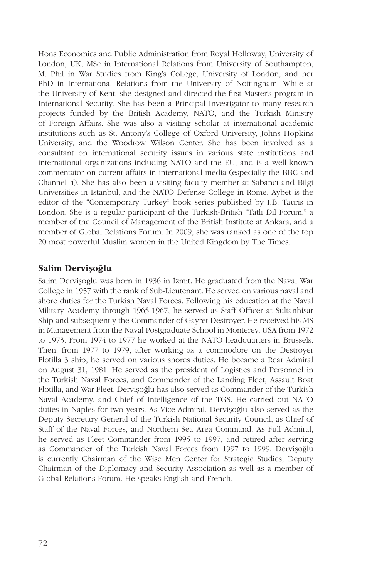Hons Economics and Public Administration from Royal Holloway, University of London, UK, MSc in International Relations from University of Southampton, M. Phil in War Studies from King's College, University of London, and her PhD in International Relations from the University of Nottingham. While at the University of Kent, she designed and directed the first Master's program in International Security. She has been a Principal Investigator to many research projects funded by the British Academy, NATO, and the Turkish Ministry of Foreign Affairs. She was also a visiting scholar at international academic institutions such as St. Antony's College of Oxford University, Johns Hopkins University, and the Woodrow Wilson Center. She has been involved as a consultant on international security issues in various state institutions and international organizations including NATO and the EU, and is a well-known commentator on current affairs in international media (especially the BBC and Channel 4). She has also been a visiting faculty member at Sabancı and Bilgi Universities in Istanbul, and the NATO Defense College in Rome. Aybet is the editor of the "Contemporary Turkey" book series published by I.B. Tauris in London. She is a regular participant of the Turkish-British "Tatlı Dil Forum," a member of the Council of Management of the British Institute at Ankara, and a member of Global Relations Forum. In 2009, she was ranked as one of the top 20 most powerful Muslim women in the United Kingdom by The Times.

## Salim Dervişoğlu

Salim Dervişoğlu was born in 1936 in İzmit. He graduated from the Naval War College in 1957 with the rank of Sub-Lieutenant. He served on various naval and shore duties for the Turkish Naval Forces. Following his education at the Naval Military Academy through 1965-1967, he served as Staff Officer at Sultanhisar Ship and subsequently the Commander of Gayret Destroyer. He received his MS in Management from the Naval Postgraduate School in Monterey, USA from 1972 to 1973. From 1974 to 1977 he worked at the NATO headquarters in Brussels. Then, from 1977 to 1979, after working as a commodore on the Destroyer Flotilla 3 ship, he served on various shores duties. He became a Rear Admiral on August 31, 1981. He served as the president of Logistics and Personnel in the Turkish Naval Forces, and Commander of the Landing Fleet, Assault Boat Flotilla, and War Fleet. Dervişoğlu has also served as Commander of the Turkish Naval Academy, and Chief of Intelligence of the TGS. He carried out NATO duties in Naples for two years. As Vice-Admiral, Dervişoğlu also served as the Deputy Secretary General of the Turkish National Security Council, as Chief of Staff of the Naval Forces, and Northern Sea Area Command. As Full Admiral, he served as Fleet Commander from 1995 to 1997, and retired after serving as Commander of the Turkish Naval Forces from 1997 to 1999. Dervişoğlu is currently Chairman of the Wise Men Center for Strategic Studies, Deputy Chairman of the Diplomacy and Security Association as well as a member of Global Relations Forum. He speaks English and French.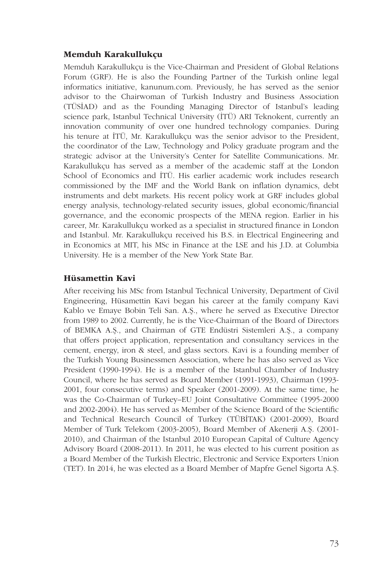### Memduh Karakullukçu

Memduh Karakullukçu is the Vice-Chairman and President of Global Relations Forum (GRF). He is also the Founding Partner of the Turkish online legal informatics initiative, kanunum.com. Previously, he has served as the senior advisor to the Chairwoman of Turkish Industry and Business Association (TÜSİAD) and as the Founding Managing Director of Istanbul's leading science park, Istanbul Technical University (İTÜ) ARI Teknokent, currently an innovation community of over one hundred technology companies. During his tenure at İTÜ, Mr. Karakullukçu was the senior advisor to the President, the coordinator of the Law, Technology and Policy graduate program and the strategic advisor at the University's Center for Satellite Communications. Mr. Karakullukçu has served as a member of the academic staff at the London School of Economics and İTÜ. His earlier academic work includes research commissioned by the IMF and the World Bank on inflation dynamics, debt instruments and debt markets. His recent policy work at GRF includes global energy analysis, technology-related security issues, global economic/financial governance, and the economic prospects of the MENA region. Earlier in his career, Mr. Karakullukçu worked as a specialist in structured finance in London and Istanbul. Mr. Karakullukçu received his B.S. in Electrical Engineering and in Economics at MIT, his MSc in Finance at the LSE and his J.D. at Columbia University. He is a member of the New York State Bar.

## Hüsamettin Kavi

After receiving his MSc from Istanbul Technical University, Department of Civil Engineering, Hüsamettin Kavi began his career at the family company Kavi Kablo ve Emaye Bobin Teli San. A.Ş., where he served as Executive Director from 1989 to 2002. Currently, he is the Vice-Chairman of the Board of Directors of BEMKA A.Ş., and Chairman of GTE Endüstri Sistemleri A.Ş., a company that offers project application, representation and consultancy services in the cement, energy, iron & steel, and glass sectors. Kavi is a founding member of the Turkish Young Businessmen Association, where he has also served as Vice President (1990-1994). He is a member of the Istanbul Chamber of Industry Council, where he has served as Board Member (1991-1993), Chairman (1993- 2001, four consecutive terms) and Speaker (2001-2009). At the same time, he was the Co-Chairman of Turkey–EU Joint Consultative Committee (1995-2000 and 2002-2004). He has served as Member of the Science Board of the Scientific and Technical Research Council of Turkey (TÜBİTAK) (2001-2009), Board Member of Turk Telekom (2003-2005), Board Member of Akenerji A.Ş. (2001- 2010), and Chairman of the Istanbul 2010 European Capital of Culture Agency Advisory Board (2008-2011). In 2011, he was elected to his current position as a Board Member of the Turkish Electric, Electronic and Service Exporters Union (TET). In 2014, he was elected as a Board Member of Mapfre Genel Sigorta A.Ş.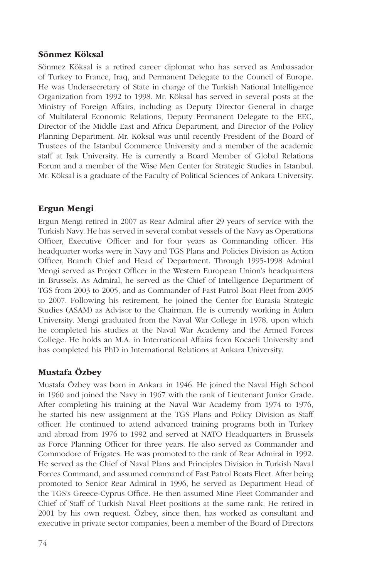### Sönmez Köksal

Sönmez Köksal is a retired career diplomat who has served as Ambassador of Turkey to France, Iraq, and Permanent Delegate to the Council of Europe. He was Undersecretary of State in charge of the Turkish National Intelligence Organization from 1992 to 1998. Mr. Köksal has served in several posts at the Ministry of Foreign Affairs, including as Deputy Director General in charge of Multilateral Economic Relations, Deputy Permanent Delegate to the EEC, Director of the Middle East and Africa Department, and Director of the Policy Planning Department. Mr. Köksal was until recently President of the Board of Trustees of the Istanbul Commerce University and a member of the academic staff at Işık University. He is currently a Board Member of Global Relations Forum and a member of the Wise Men Center for Strategic Studies in Istanbul. Mr. Köksal is a graduate of the Faculty of Political Sciences of Ankara University.

## Ergun Mengi

Ergun Mengi retired in 2007 as Rear Admiral after 29 years of service with the Turkish Navy. He has served in several combat vessels of the Navy as Operations Officer, Executive Officer and for four years as Commanding officer. His headquarter works were in Navy and TGS Plans and Policies Division as Action Officer, Branch Chief and Head of Department. Through 1995-1998 Admiral Mengi served as Project Officer in the Western European Union's headquarters in Brussels. As Admiral, he served as the Chief of Intelligence Department of TGS from 2003 to 2005, and as Commander of Fast Patrol Boat Fleet from 2005 to 2007. Following his retirement, he joined the Center for Eurasia Strategic Studies (ASAM) as Advisor to the Chairman. He is currently working in Atılım University. Mengi graduated from the Naval War College in 1978, upon which he completed his studies at the Naval War Academy and the Armed Forces College. He holds an M.A. in International Affairs from Kocaeli University and has completed his PhD in International Relations at Ankara University.

## Mustafa Özbey

Mustafa Özbey was born in Ankara in 1946. He joined the Naval High School in 1960 and joined the Navy in 1967 with the rank of Lieutenant Junior Grade. After completing his training at the Naval War Academy from 1974 to 1976, he started his new assignment at the TGS Plans and Policy Division as Staff officer. He continued to attend advanced training programs both in Turkey and abroad from 1976 to 1992 and served at NATO Headquarters in Brussels as Force Planning Officer for three years. He also served as Commander and Commodore of Frigates. He was promoted to the rank of Rear Admiral in 1992. He served as the Chief of Naval Plans and Principles Division in Turkish Naval Forces Command, and assumed command of Fast Patrol Boats Fleet. After being promoted to Senior Rear Admiral in 1996, he served as Department Head of the TGS's Greece-Cyprus Office. He then assumed Mine Fleet Commander and Chief of Staff of Turkish Naval Fleet positions at the same rank. He retired in 2001 by his own request. Özbey, since then, has worked as consultant and executive in private sector companies, been a member of the Board of Directors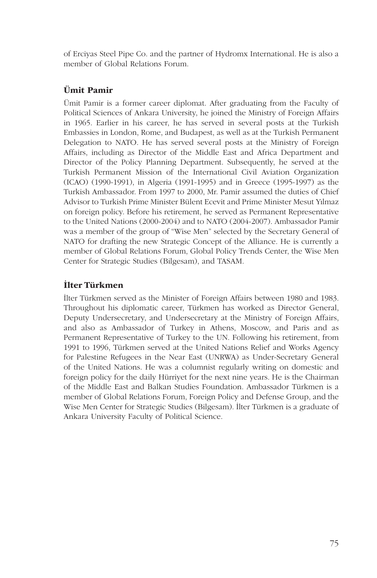of Erciyas Steel Pipe Co. and the partner of Hydromx International. He is also a member of Global Relations Forum.

## Ümit Pamir

Ümit Pamir is a former career diplomat. After graduating from the Faculty of Political Sciences of Ankara University, he joined the Ministry of Foreign Affairs in 1965. Earlier in his career, he has served in several posts at the Turkish Embassies in London, Rome, and Budapest, as well as at the Turkish Permanent Delegation to NATO. He has served several posts at the Ministry of Foreign Affairs, including as Director of the Middle East and Africa Department and Director of the Policy Planning Department. Subsequently, he served at the Turkish Permanent Mission of the International Civil Aviation Organization (ICAO) (1990-1991), in Algeria (1991-1995) and in Greece (1995-1997) as the Turkish Ambassador. From 1997 to 2000, Mr. Pamir assumed the duties of Chief Advisor to Turkish Prime Minister Bülent Ecevit and Prime Minister Mesut Yılmaz on foreign policy. Before his retirement, he served as Permanent Representative to the United Nations (2000-2004) and to NATO (2004-2007). Ambassador Pamir was a member of the group of "Wise Men" selected by the Secretary General of NATO for drafting the new Strategic Concept of the Alliance. He is currently a member of Global Relations Forum, Global Policy Trends Center, the Wise Men Center for Strategic Studies (Bilgesam), and TASAM.

## İlter Türkmen

İlter Türkmen served as the Minister of Foreign Affairs between 1980 and 1983. Throughout his diplomatic career, Türkmen has worked as Director General, Deputy Undersecretary, and Undersecretary at the Ministry of Foreign Affairs, and also as Ambassador of Turkey in Athens, Moscow, and Paris and as Permanent Representative of Turkey to the UN. Following his retirement, from 1991 to 1996, Türkmen served at the United Nations Relief and Works Agency for Palestine Refugees in the Near East (UNRWA) as Under-Secretary General of the United Nations. He was a columnist regularly writing on domestic and foreign policy for the daily Hürriyet for the next nine years. He is the Chairman of the Middle East and Balkan Studies Foundation. Ambassador Türkmen is a member of Global Relations Forum, Foreign Policy and Defense Group, and the Wise Men Center for Strategic Studies (Bilgesam). İlter Türkmen is a graduate of Ankara University Faculty of Political Science.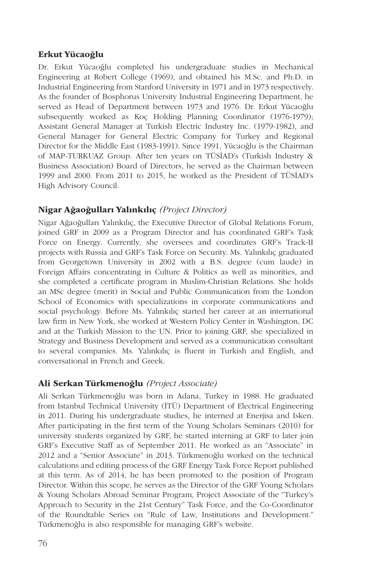## Erkut Yücaoğlu

Dr. Erkut Yücaoğlu completed his undergraduate studies in Mechanical Engineering at Robert College (1969), and obtained his M.Sc. and Ph.D. in Industrial Engineering from Stanford University in 1971 and in 1973 respectively. As the founder of Bosphorus University Industrial Engineering Department, he served as Head of Department between 1973 and 1976. Dr. Erkut Yücaoğlu subsequently worked as Koç Holding Planning Coordinator (1976-1979); Assistant General Manager at Turkish Electric Industry Inc. (1979-1982), and General Manager for General Electric Company for Turkey and Regional Director for the Middle East (1983-1991). Since 1991, Yücaoğlu is the Chairman of MAP-TURKUAZ Group. After ten years on TÜSİAD's (Turkish Industry & Business Association) Board of Directors, he served as the Chairman between 1999 and 2000. From 2011 to 2015, he worked as the President of TÜSİAD's High Advisory Council.

## Nigar Ağaoğulları Yalınkılıç *(Project Director)*

Nigar Ağaoğulları Yalınkılıç, the Executive Director of Global Relations Forum, joined GRF in 2009 as a Program Director and has coordinated GRF's Task Force on Energy. Currently, she oversees and coordinates GRF's Track-II projects with Russia and GRF's Task Force on Security. Ms. Yalınkılıç graduated from Georgetown University in 2002 with a B.S. degree (cum laude) in Foreign Affairs concentrating in Culture & Politics as well as minorities, and she completed a certificate program in Muslim-Christian Relations. She holds an MSc degree (merit) in Social and Public Communication from the London School of Economics with specializations in corporate communications and social psychology. Before Ms. Yalınkılıç started her career at an international law firm in New York, she worked at Western Policy Center in Washington, DC and at the Turkish Mission to the UN. Prior to joining GRF, she specialized in Strategy and Business Development and served as a communication consultant to several companies. Ms. Yalınkılıç is fluent in Turkish and English, and conversational in French and Greek.

## Ali Serkan Türkmenoğlu *(Project Associate)*

Ali Serkan Türkmenoğlu was born in Adana, Turkey in 1988. He graduated from Istanbul Technical University (İTÜ) Department of Electrical Engineering in 2011. During his undergraduate studies, he interned at Enerjisa and Isken. After participating in the first term of the Young Scholars Seminars (2010) for university students organized by GRF, he started interning at GRF to later join GRF's Executive Staff as of September 2011. He worked as an "Associate" in 2012 and a "Senior Associate" in 2013. Türkmenoğlu worked on the technical calculations and editing process of the GRF Energy Task Force Report published at this term. As of 2014, he has been promoted to the position of Program Director. Within this scope, he serves as the Director of the GRF Young Scholars & Young Scholars Abroad Seminar Program, Project Associate of the "Turkey's Approach to Security in the 21st Century" Task Force, and the Co-Coordinator of the Roundtable Series on "Rule of Law, Institutions and Development." Türkmenoğlu is also responsible for managing GRF's website.